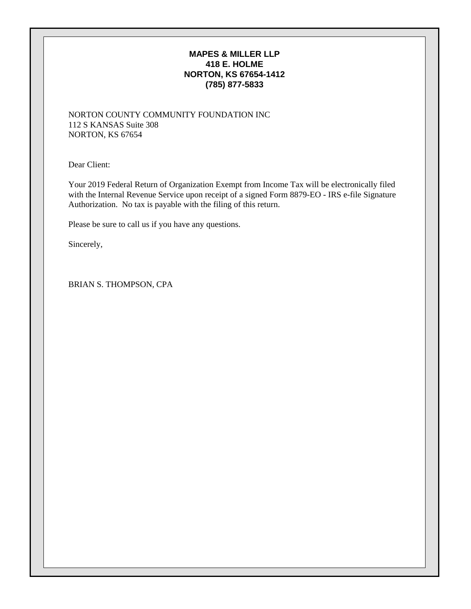# **MAPES & MILLER LLP 418 E. HOLME NORTON, KS 67654-1412 (785) 877-5833**

NORTON COUNTY COMMUNITY FOUNDATION INC 112 S KANSAS Suite 308 NORTON, KS 67654

Dear Client:

Your 2019 Federal Return of Organization Exempt from Income Tax will be electronically filed with the Internal Revenue Service upon receipt of a signed Form 8879-EO - IRS e-file Signature Authorization. No tax is payable with the filing of this return.

Please be sure to call us if you have any questions.

Sincerely,

BRIAN S. THOMPSON, CPA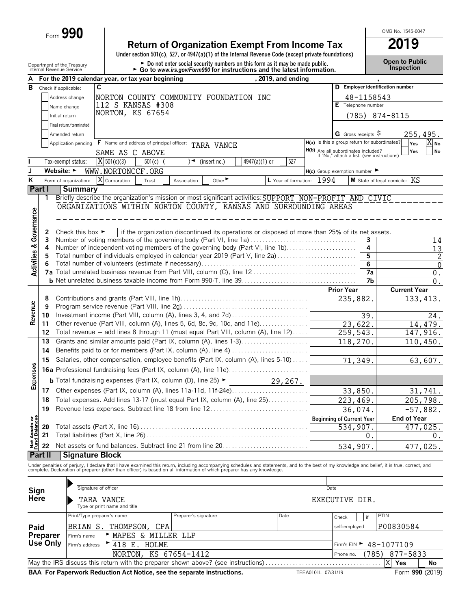Form **990**

# **Return of Organization Exempt From Income Tax 2019**

**Under section 501(c), 527, or 4947(a)(1) of the Internal Revenue Code (except private foundations)**

Department of the Treasury **and Exercic Connect of the Treasury Connect Connect Connect Connect Connect Connect Connect Connect Connect Connect Connect Connect Connect Connect Connect Connect Connection <b>Connection**<br>Inter

OMB No. 1545-0047

|                         |                                |                                      | For the 2019 calendar year, or tax year beginning                                                                                                                                                                                 |                                                                                                 | , 2019, and ending |         |                                                                                   |                             |                 |                                  |
|-------------------------|--------------------------------|--------------------------------------|-----------------------------------------------------------------------------------------------------------------------------------------------------------------------------------------------------------------------------------|-------------------------------------------------------------------------------------------------|--------------------|---------|-----------------------------------------------------------------------------------|-----------------------------|-----------------|----------------------------------|
| в                       | Check if applicable:           |                                      | C.                                                                                                                                                                                                                                |                                                                                                 |                    |         |                                                                                   |                             |                 | D Employer identification number |
|                         |                                | Address change                       | NORTON COUNTY COMMUNITY FOUNDATION INC                                                                                                                                                                                            |                                                                                                 |                    |         |                                                                                   |                             | 48-1158543      |                                  |
|                         |                                | Name change                          | 112 S KANSAS #308                                                                                                                                                                                                                 |                                                                                                 |                    |         |                                                                                   | E Telephone number          |                 |                                  |
|                         |                                |                                      | NORTON, KS 67654                                                                                                                                                                                                                  |                                                                                                 |                    |         |                                                                                   |                             |                 |                                  |
|                         | Initial return                 |                                      |                                                                                                                                                                                                                                   |                                                                                                 |                    |         |                                                                                   |                             |                 | $(785)$ $874 - 8115$             |
|                         |                                | Final return/terminated              |                                                                                                                                                                                                                                   |                                                                                                 |                    |         |                                                                                   |                             |                 |                                  |
|                         |                                | Amended return                       |                                                                                                                                                                                                                                   |                                                                                                 |                    |         |                                                                                   | G Gross receipts $\sqrt{5}$ |                 | 255,495.                         |
|                         |                                | Application pending                  | F Name and address of principal officer: TARA VANCE                                                                                                                                                                               |                                                                                                 |                    |         | H(a) Is this a group return for subordinates?                                     |                             |                 | $X_{\mathsf{No}}$<br>Yes         |
|                         |                                |                                      | SAME AS C ABOVE                                                                                                                                                                                                                   |                                                                                                 |                    |         | H(b) Are all subordinates included?<br>If "No," attach a list. (see instructions) |                             |                 | Yes<br>No                        |
|                         |                                | Tax-exempt status:                   | $X$ 501(c)(3)<br>$501(c)$ (                                                                                                                                                                                                       | $\sqrt{ }$ (insert no.)                                                                         | 4947(a)(1) or      | 527     |                                                                                   |                             |                 |                                  |
| J.                      | Website: $\blacktriangleright$ |                                      | WWW.NORTONCCF.ORG                                                                                                                                                                                                                 |                                                                                                 |                    |         | $H(c)$ Group exemption number $\blacktriangleright$                               |                             |                 |                                  |
| ĸ                       |                                | Form of organization:                | X Corporation<br>Trust                                                                                                                                                                                                            | Other<br>Association                                                                            |                    |         | L Year of formation: 1994                                                         |                             |                 | M State of legal domicile: KS    |
|                         | Part I                         | <b>Summary</b>                       |                                                                                                                                                                                                                                   |                                                                                                 |                    |         |                                                                                   |                             |                 |                                  |
|                         | 1                              |                                      | Briefly describe the organization's mission or most significant activities: SUPPORT NON-PROFIT AND CIVIC                                                                                                                          |                                                                                                 |                    |         |                                                                                   |                             |                 |                                  |
|                         |                                |                                      | ORGANIZATIONS WITHIN NORTON COUNTY, KANSAS AND SURROUNDING AREAS                                                                                                                                                                  |                                                                                                 |                    |         |                                                                                   |                             |                 |                                  |
| Governance              |                                |                                      |                                                                                                                                                                                                                                   |                                                                                                 |                    |         |                                                                                   |                             |                 |                                  |
|                         |                                |                                      |                                                                                                                                                                                                                                   |                                                                                                 |                    |         |                                                                                   |                             |                 |                                  |
|                         |                                |                                      |                                                                                                                                                                                                                                   |                                                                                                 |                    |         |                                                                                   |                             |                 |                                  |
|                         | 2<br>3                         | Check this box $\blacktriangleright$ | Number of voting members of the governing body (Part VI, line 1a)                                                                                                                                                                 | if the organization discontinued its operations or disposed of more than 25% of its net assets. |                    |         |                                                                                   |                             | 3               |                                  |
|                         | 4                              |                                      | Number of independent voting members of the governing body (Part VI, line 1b)                                                                                                                                                     |                                                                                                 |                    |         |                                                                                   |                             | 4               | 14                               |
|                         | 5                              |                                      | Total number of individuals employed in calendar year 2019 (Part V, line 2a)                                                                                                                                                      |                                                                                                 |                    |         |                                                                                   |                             | 5               | 13                               |
| <b>Activities &amp;</b> |                                |                                      |                                                                                                                                                                                                                                   |                                                                                                 |                    |         |                                                                                   |                             | 6               | $\frac{2}{0}$                    |
|                         |                                |                                      |                                                                                                                                                                                                                                   |                                                                                                 |                    |         |                                                                                   |                             | $\overline{7a}$ | $\boldsymbol{0}$ .               |
|                         |                                |                                      |                                                                                                                                                                                                                                   |                                                                                                 |                    |         |                                                                                   |                             | 7b              | $0$ .                            |
|                         |                                |                                      |                                                                                                                                                                                                                                   |                                                                                                 |                    |         |                                                                                   | <b>Prior Year</b>           |                 | <b>Current Year</b>              |
|                         | 8                              |                                      |                                                                                                                                                                                                                                   |                                                                                                 |                    |         |                                                                                   |                             |                 |                                  |
|                         | 9                              |                                      |                                                                                                                                                                                                                                   |                                                                                                 |                    |         |                                                                                   | 235,882.                    |                 | 133, 413.                        |
| Revenue                 | 10                             |                                      | Investment income (Part VIII, column (A), lines 3, 4, and 7d)                                                                                                                                                                     |                                                                                                 |                    |         |                                                                                   |                             | 39.             | 24.                              |
|                         | 11                             |                                      | Other revenue (Part VIII, column (A), lines 5, 6d, 8c, 9c, 10c, and 11e)                                                                                                                                                          |                                                                                                 |                    |         |                                                                                   | 23,622.                     |                 |                                  |
|                         | 12                             |                                      | Total revenue - add lines 8 through 11 (must equal Part VIII, column (A), line 12)                                                                                                                                                |                                                                                                 |                    |         |                                                                                   | 259,543.                    |                 | 14,479.<br>147, 916.             |
|                         | 13                             |                                      | Grants and similar amounts paid (Part IX, column (A), lines 1-3)                                                                                                                                                                  |                                                                                                 |                    |         |                                                                                   |                             |                 |                                  |
|                         |                                |                                      |                                                                                                                                                                                                                                   |                                                                                                 |                    |         |                                                                                   | 118,270.                    |                 | 110, 450.                        |
|                         | 14                             |                                      | Benefits paid to or for members (Part IX, column (A), line 4)                                                                                                                                                                     |                                                                                                 |                    |         |                                                                                   |                             |                 |                                  |
|                         | 15                             |                                      | Salaries, other compensation, employee benefits (Part IX, column (A), lines 5-10)                                                                                                                                                 |                                                                                                 |                    |         |                                                                                   | 71,349                      |                 | 63,607.                          |
|                         |                                |                                      | 16a Professional fundraising fees (Part IX, column (A), line 11e)                                                                                                                                                                 |                                                                                                 |                    |         |                                                                                   |                             |                 |                                  |
| Expenses                |                                |                                      | <b>b</b> Total fundraising expenses (Part IX, column (D), line 25) $\blacktriangleright$                                                                                                                                          |                                                                                                 |                    | 29,267. |                                                                                   |                             |                 |                                  |
|                         | 17                             |                                      | Other expenses (Part IX, column (A), lines 11a-11d, 11f-24e)                                                                                                                                                                      |                                                                                                 |                    |         |                                                                                   | 33,850.                     |                 | 31,741.                          |
|                         | 18                             |                                      | Total expenses. Add lines 13-17 (must equal Part IX, column (A), line 25)                                                                                                                                                         |                                                                                                 |                    |         |                                                                                   | $\overline{2}$ 23,469.      |                 | 205,798.                         |
|                         | 19                             |                                      | Revenue less expenses. Subtract line 18 from line 12                                                                                                                                                                              |                                                                                                 |                    |         |                                                                                   | 36,074.                     |                 | $-57,882.$                       |
| $5\frac{8}{9}$          |                                |                                      |                                                                                                                                                                                                                                   |                                                                                                 |                    |         | <b>Beginning of Current Year</b>                                                  |                             |                 | <b>End of Year</b>               |
| Assets<br>1 Balanc      | 20                             |                                      |                                                                                                                                                                                                                                   |                                                                                                 |                    |         |                                                                                   | 534,907.                    |                 | 477,025.                         |
|                         | 21                             |                                      | Total liabilities (Part X, line 26)                                                                                                                                                                                               |                                                                                                 |                    |         |                                                                                   |                             | 0.              | 0.                               |
| <b>Jere</b>             | 22                             |                                      | Net assets or fund balances. Subtract line 21 from line 20                                                                                                                                                                        |                                                                                                 |                    |         |                                                                                   | 534,907.                    |                 | 477,025.                         |
|                         | Part II                        | <b>Signature Block</b>               |                                                                                                                                                                                                                                   |                                                                                                 |                    |         |                                                                                   |                             |                 |                                  |
|                         |                                |                                      |                                                                                                                                                                                                                                   |                                                                                                 |                    |         |                                                                                   |                             |                 |                                  |
|                         |                                |                                      | Under penalties of perjury, I declare that I have examined this return, including accompanying schedules and statements, and to the best of my knowledge and belief, it is true, correct, and<br>complete. Declaration of prepare |                                                                                                 |                    |         |                                                                                   |                             |                 |                                  |
|                         |                                |                                      |                                                                                                                                                                                                                                   |                                                                                                 |                    |         |                                                                                   |                             |                 |                                  |
|                         |                                |                                      | Signature of officer                                                                                                                                                                                                              |                                                                                                 |                    |         | Date                                                                              |                             |                 |                                  |
| Sign<br>Here            |                                |                                      |                                                                                                                                                                                                                                   |                                                                                                 |                    |         |                                                                                   |                             |                 |                                  |
|                         |                                |                                      | TARA VANCE<br>Type or print name and title                                                                                                                                                                                        |                                                                                                 |                    |         | EXECUTIVE DIR.                                                                    |                             |                 |                                  |
|                         |                                |                                      | Print/Type preparer's name                                                                                                                                                                                                        | Preparer's signature                                                                            |                    | Date    |                                                                                   |                             |                 | PTIN                             |
|                         |                                |                                      |                                                                                                                                                                                                                                   |                                                                                                 |                    |         |                                                                                   | Check                       | if              |                                  |
| Paid                    |                                | BRIAN S.                             | THOMPSON,<br>CPA                                                                                                                                                                                                                  |                                                                                                 |                    |         |                                                                                   | self-employed               |                 | P00830584                        |
|                         | <b>Preparer</b>                | Firm's name                          | MAPES<br>MILLER LLP<br>&                                                                                                                                                                                                          |                                                                                                 |                    |         |                                                                                   |                             |                 |                                  |
|                         | Use Only                       | Firm's address                       | 418 E.<br>HOLME                                                                                                                                                                                                                   |                                                                                                 |                    |         |                                                                                   | Firm's $EIN$                |                 | 48-1077109                       |
|                         |                                |                                      | NORTON,                                                                                                                                                                                                                           | KS 67654-1412                                                                                   |                    |         |                                                                                   | Phone no.                   | (785)           | 877-5833                         |
|                         |                                |                                      | May the IRS discuss this return with the preparer shown above? (see instructions)                                                                                                                                                 |                                                                                                 |                    |         |                                                                                   |                             |                 | X<br>Yes<br>No                   |
|                         |                                |                                      | BAA For Paperwork Reduction Act Notice, see the separate instructions.                                                                                                                                                            |                                                                                                 |                    |         | TEEA0101L 07/31/19                                                                |                             |                 | Form 990 (2019)                  |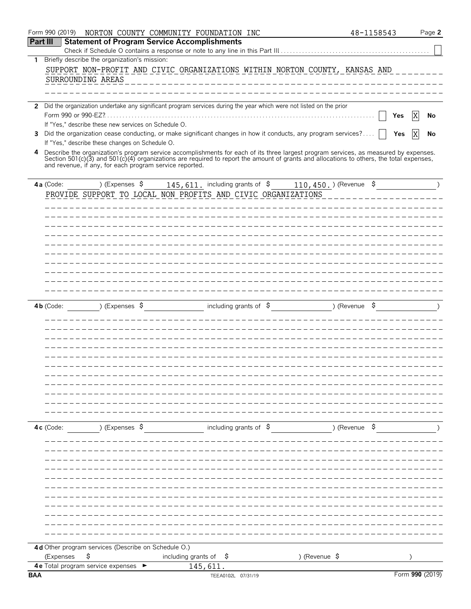|            | Form 990 (2019)                                         | NORTON COUNTY COMMUNITY FOUNDATION INC                                                                                                                                                                                                                                           | 48-1158543              | Page 2 |
|------------|---------------------------------------------------------|----------------------------------------------------------------------------------------------------------------------------------------------------------------------------------------------------------------------------------------------------------------------------------|-------------------------|--------|
|            | <b>Part III</b>                                         | <b>Statement of Program Service Accomplishments</b>                                                                                                                                                                                                                              |                         |        |
|            | 1 Briefly describe the organization's mission:          |                                                                                                                                                                                                                                                                                  |                         |        |
|            |                                                         | SUPPORT NON-PROFIT AND CIVIC ORGANIZATIONS WITHIN NORTON COUNTY, KANSAS AND                                                                                                                                                                                                      |                         |        |
|            | SURROUNDING AREAS                                       |                                                                                                                                                                                                                                                                                  |                         |        |
|            |                                                         |                                                                                                                                                                                                                                                                                  |                         |        |
|            |                                                         | 2 Did the organization undertake any significant program services during the year which were not listed on the prior                                                                                                                                                             |                         |        |
|            |                                                         |                                                                                                                                                                                                                                                                                  | Yes<br>ΙX               | No     |
| 3          | If "Yes," describe these new services on Schedule O.    | Did the organization cease conducting, or make significant changes in how it conducts, any program services?                                                                                                                                                                     | Yes                     | No     |
|            | If "Yes," describe these changes on Schedule O.         |                                                                                                                                                                                                                                                                                  |                         |        |
| 4          |                                                         | Describe the organization's program service accomplishments for each of its three largest program services, as measured by expenses.<br>Section 501(c)(3) and 501(c)(4) organizations are required to report the amount of grants and allocations to others, the total expenses, |                         |        |
|            | and revenue, if any, for each program service reported. |                                                                                                                                                                                                                                                                                  |                         |        |
|            |                                                         |                                                                                                                                                                                                                                                                                  |                         |        |
|            | ) (Expenses \$<br>$4a$ (Code:                           | 145, 611. including grants of $\,$ \$<br>PROVIDE SUPPORT TO LOCAL NON PROFITS AND CIVIC ORGANIZATIONS                                                                                                                                                                            | $110, 450.$ (Revenue \$ |        |
|            |                                                         |                                                                                                                                                                                                                                                                                  |                         |        |
|            |                                                         |                                                                                                                                                                                                                                                                                  |                         |        |
|            |                                                         |                                                                                                                                                                                                                                                                                  |                         |        |
|            |                                                         |                                                                                                                                                                                                                                                                                  |                         |        |
|            |                                                         |                                                                                                                                                                                                                                                                                  |                         |        |
|            |                                                         |                                                                                                                                                                                                                                                                                  |                         |        |
|            |                                                         |                                                                                                                                                                                                                                                                                  |                         |        |
|            |                                                         |                                                                                                                                                                                                                                                                                  |                         |        |
|            |                                                         |                                                                                                                                                                                                                                                                                  |                         |        |
|            | ) (Expenses \$<br>$4b$ (Code:                           | including grants of $\beta$                                                                                                                                                                                                                                                      | ) (Revenue \$           |        |
|            |                                                         |                                                                                                                                                                                                                                                                                  |                         |        |
|            |                                                         |                                                                                                                                                                                                                                                                                  |                         |        |
|            |                                                         |                                                                                                                                                                                                                                                                                  |                         |        |
|            |                                                         |                                                                                                                                                                                                                                                                                  |                         |        |
|            |                                                         |                                                                                                                                                                                                                                                                                  |                         |        |
|            |                                                         |                                                                                                                                                                                                                                                                                  |                         |        |
|            |                                                         |                                                                                                                                                                                                                                                                                  |                         |        |
|            |                                                         |                                                                                                                                                                                                                                                                                  |                         |        |
|            |                                                         |                                                                                                                                                                                                                                                                                  |                         |        |
|            | 4c (Code:<br>) (Expenses \$                             | including grants of $\frac{1}{2}$                                                                                                                                                                                                                                                | ) (Revenue \$           |        |
|            |                                                         |                                                                                                                                                                                                                                                                                  |                         |        |
|            |                                                         |                                                                                                                                                                                                                                                                                  |                         |        |
|            |                                                         |                                                                                                                                                                                                                                                                                  |                         |        |
|            |                                                         |                                                                                                                                                                                                                                                                                  |                         |        |
|            |                                                         |                                                                                                                                                                                                                                                                                  |                         |        |
|            |                                                         |                                                                                                                                                                                                                                                                                  |                         |        |
|            |                                                         |                                                                                                                                                                                                                                                                                  |                         |        |
|            |                                                         |                                                                                                                                                                                                                                                                                  |                         |        |
|            |                                                         |                                                                                                                                                                                                                                                                                  |                         |        |
|            | 4d Other program services (Describe on Schedule O.)     |                                                                                                                                                                                                                                                                                  |                         |        |
|            | \$<br>(Expenses                                         | including grants of<br>Ş.                                                                                                                                                                                                                                                        | ) (Revenue \$           |        |
|            | 4e Total program service expenses                       | 145,611.                                                                                                                                                                                                                                                                         |                         |        |
| <b>BAA</b> |                                                         | TEEA0102L 07/31/19                                                                                                                                                                                                                                                               | Form 990 (2019)         |        |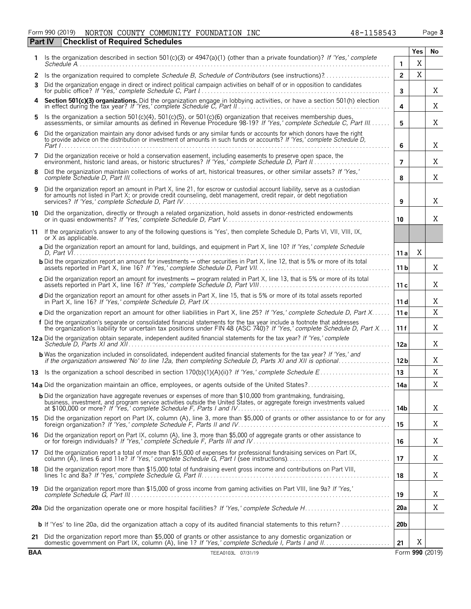Form 990 (2019) Page **3** NORTON COUNTY COMMUNITY FOUNDATION INC 48-1158543 **Part IV Checklist of Required Schedules**

|     |                                                                                                                                                                                                                                                     |                         | Yes | <b>No</b>   |
|-----|-----------------------------------------------------------------------------------------------------------------------------------------------------------------------------------------------------------------------------------------------------|-------------------------|-----|-------------|
|     | Is the organization described in section 501(c)(3) or $4947(a)(1)$ (other than a private foundation)? If 'Yes,' complete                                                                                                                            | $\mathbf{1}$            | Χ   |             |
| 2   |                                                                                                                                                                                                                                                     | $\overline{\mathbf{c}}$ | X   |             |
| 3   | Did the organization engage in direct or indirect political campaign activities on behalf of or in opposition to candidates                                                                                                                         | 3                       |     | Χ           |
|     | 4 Section 501(c)(3) organizations. Did the organization engage in lobbying activities, or have a section 501(h) election<br>in effect during the tax year? If 'Yes,' complete Schedule C, Part II                                                   | 4                       |     | X           |
| 5.  | Is the organization a section 501(c)(4), 501(c)(5), or 501(c)(6) organization that receives membership dues,<br>assessments, or similar amounts as defined in Revenue Procedure 98-19? If 'Yes,' complete Schedule C, Part III.                     | 5                       |     | Χ           |
| 6.  | Did the organization maintain any donor advised funds or any similar funds or accounts for which donors have the right<br>to provide advice on the distribution or investment of amounts in such funds or accounts? If 'Yes,' complete Schedule D,  | 6                       |     | Χ           |
| 7   | Did the organization receive or hold a conservation easement, including easements to preserve open space, the<br>environment, historic land areas, or historic structures? If 'Yes,' complete Schedule D, Part II                                   | $\overline{7}$          |     | X           |
| 8   | Did the organization maintain collections of works of art, historical treasures, or other similar assets? If 'Yes,'                                                                                                                                 | 8                       |     | X           |
|     | Did the organization report an amount in Part X, line 21, for escrow or custodial account liability, serve as a custodian<br>for amounts not listed in Part X; or provide credit counseling, debt management, credit repair, or debt negotiation    | 9                       |     | Χ           |
|     | 10 Did the organization, directly or through a related organization, hold assets in donor-restricted endowments                                                                                                                                     | 10                      |     | X           |
|     | 11 If the organization's answer to any of the following questions is 'Yes', then complete Schedule D, Parts VI, VII, VIII, IX,<br>or X as applicable.                                                                                               |                         |     |             |
|     | a Did the organization report an amount for land, buildings, and equipment in Part X, line 10? If 'Yes,' complete Schedule                                                                                                                          | 11 a                    | Χ   |             |
|     | <b>b</b> Did the organization report an amount for investments – other securities in Part X, line 12, that is 5% or more of its total                                                                                                               | 11 <sub>b</sub>         |     | Χ           |
|     | c Did the organization report an amount for investments - program related in Part X, line 13, that is 5% or more of its total                                                                                                                       | 11 c                    |     | X           |
|     | d Did the organization report an amount for other assets in Part X, line 15, that is 5% or more of its total assets reported                                                                                                                        | 11d                     |     | Χ           |
|     | e Did the organization report an amount for other liabilities in Part X, line 25? If 'Yes,' complete Schedule D, Part X                                                                                                                             | 11 e                    |     | $\mathbf X$ |
|     | f Did the organization's separate or consolidated financial statements for the tax year include a footnote that addresses<br>the organization's liability for uncertain tax positions under FIN 48 (ASC 740)? If 'Yes,' complete Schedule D, Part X | 11f                     |     | Χ           |
|     | 12a Did the organization obtain separate, independent audited financial statements for the tax year? If 'Yes,' complete                                                                                                                             | 12a                     |     | Χ           |
|     | <b>b</b> Was the organization included in consolidated, independent audited financial statements for the tax year? If 'Yes,' and                                                                                                                    | 12 b                    |     | Χ           |
|     |                                                                                                                                                                                                                                                     | 13                      |     | Χ           |
|     |                                                                                                                                                                                                                                                     | 14a                     |     | X           |
|     | <b>b</b> Did the organization have aggregate revenues or expenses of more than \$10,000 from grantmaking, fundraising,<br>business, investment, and program service activities outside the United States, or aggregate foreign investments valued   | 14b                     |     | Χ           |
|     | 15 Did the organization report on Part IX, column (A), line 3, more than \$5,000 of grants or other assistance to or for any                                                                                                                        | 15                      |     | Χ           |
|     | 16 Did the organization report on Part IX, column (A), line 3, more than \$5,000 of aggregate grants or other assistance to<br>or for foreign individuals? If 'Yes,' complete Schedule F, Parts III and IV                                          | 16                      |     | Χ           |
| 17. | Did the organization report a total of more than \$15,000 of expenses for professional fundraising services on Part IX,                                                                                                                             | 17                      |     | Χ           |
| 18  | Did the organization report more than \$15,000 total of fundraising event gross income and contributions on Part VIII,                                                                                                                              | 18                      |     | Χ           |
|     | 19 Did the organization report more than \$15,000 of gross income from gaming activities on Part VIII, line 9a? If 'Yes,'                                                                                                                           | 19                      |     | Χ           |
|     |                                                                                                                                                                                                                                                     | 20a                     |     | Χ           |
|     | <b>b</b> If 'Yes' to line 20a, did the organization attach a copy of its audited financial statements to this return?                                                                                                                               | 20 <sub>b</sub>         |     |             |
|     | 21 Did the organization report more than \$5,000 of grants or other assistance to any domestic organization or                                                                                                                                      | 21                      | Χ   |             |

**BAA TEEA0103L 07/31/19 TEEA0103L 07/31/19 Form 990** (2019)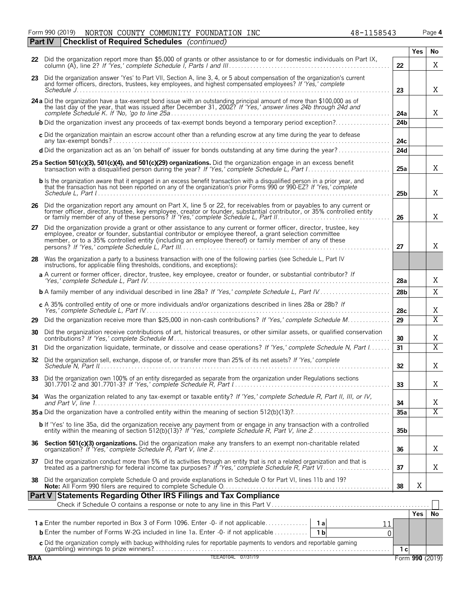Form 990 (2019) NORTON COUNTY COMMUNITY FOUNDATION INC 48-1158543 Page **4** NORTON COUNTY COMMUNITY FOUNDATION INC 48-1158543

**Part IV Checklist of Required Schedules** *(continued)*

|            | $\sim$ . The critical control of the control of $\sim$                                                                                                                                                                                                                                                                                   |                 | <b>Yes</b>      | No.                 |  |
|------------|------------------------------------------------------------------------------------------------------------------------------------------------------------------------------------------------------------------------------------------------------------------------------------------------------------------------------------------|-----------------|-----------------|---------------------|--|
|            | 22 Did the organization report more than \$5,000 of grants or other assistance to or for domestic individuals on Part IX,                                                                                                                                                                                                                | 22              |                 | X                   |  |
|            | 23 Did the organization answer 'Yes' to Part VII, Section A, line 3, 4, or 5 about compensation of the organization's current<br>and former officers, directors, trustees, key employees, and highest compensated employees? If 'Yes,' complete                                                                                          | 23              |                 | X                   |  |
|            | 24 a Did the organization have a tax-exempt bond issue with an outstanding principal amount of more than \$100,000 as of<br>the last day of the year, that was issued after December 31, 2002? If 'Yes,' answer lines 24b through 24d and                                                                                                | 24a             |                 | X                   |  |
|            | <b>b</b> Did the organization invest any proceeds of tax-exempt bonds beyond a temporary period exception?                                                                                                                                                                                                                               | 24 <sub>b</sub> |                 |                     |  |
|            | c Did the organization maintain an escrow account other than a refunding escrow at any time during the year to defease                                                                                                                                                                                                                   | 24c             |                 |                     |  |
|            | d Did the organization act as an 'on behalf of' issuer for bonds outstanding at any time during the year?                                                                                                                                                                                                                                | 24d             |                 |                     |  |
|            | 25 a Section 501(c)(3), 501(c)(4), and 501(c)(29) organizations. Did the organization engage in an excess benefit                                                                                                                                                                                                                        | 25a             |                 | X                   |  |
|            | <b>b</b> Is the organization aware that it engaged in an excess benefit transaction with a disqualified person in a prior year, and<br>that the transaction has not been reported on any of the organization's prior Forms 990 or 990-EZ? If 'Yes,' complete                                                                             | 25 <sub>b</sub> |                 | X                   |  |
|            | 26 Did the organization report any amount on Part X, line 5 or 22, for receivables from or payables to any current or<br>former officer, director, trustee, key employee, creator or founder, substantial contributor, or 35% controlled entity<br>or family member of any of these persons? If 'Yes,' complete Schedule L, Part II      | 26              |                 | X                   |  |
|            | 27 Did the organization provide a grant or other assistance to any current or former officer, director, trustee, key<br>employee, creator or founder, substantial contributor or employee thereof, a grant selection committee<br>member, or to a 35% controlled entity (including an employee thereof) or family member of any of these | 27              |                 | X                   |  |
|            | 28 Was the organization a party to a business transaction with one of the following parties (see Schedule L, Part IV<br>instructions, for applicable filing thresholds, conditions, and exceptions):                                                                                                                                     |                 |                 |                     |  |
|            | a A current or former officer, director, trustee, key employee, creator or founder, or substantial contributor? If                                                                                                                                                                                                                       | 28a             |                 | Χ                   |  |
|            |                                                                                                                                                                                                                                                                                                                                          | 28 <sub>b</sub> |                 | X                   |  |
|            | c A 35% controlled entity of one or more individuals and/or organizations described in lines 28a or 28b? If                                                                                                                                                                                                                              | 28c             |                 | Χ<br>$\overline{X}$ |  |
| 29         | Did the organization receive more than \$25,000 in non-cash contributions? If 'Yes,' complete Schedule M<br>29                                                                                                                                                                                                                           |                 |                 |                     |  |
| 30         | Did the organization receive contributions of art, historical treasures, or other similar assets, or qualified conservation                                                                                                                                                                                                              | 30              |                 | X                   |  |
| 31         | Did the organization liquidate, terminate, or dissolve and cease operations? If 'Yes,' complete Schedule N, Part I                                                                                                                                                                                                                       | 31              |                 | $\overline{X}$      |  |
|            | 32 Did the organization sell, exchange, dispose of, or transfer more than 25% of its net assets? If 'Yes,' complete                                                                                                                                                                                                                      | 32              |                 | X                   |  |
|            | 33 Did the organization own 100% of an entity disregarded as separate from the organization under Regulations sections                                                                                                                                                                                                                   | 33              |                 | X                   |  |
|            | 34 Was the organization related to any tax-exempt or taxable entity? If 'Yes,' complete Schedule R, Part II, III, or IV,                                                                                                                                                                                                                 | 34              |                 | Χ                   |  |
|            |                                                                                                                                                                                                                                                                                                                                          | 35a             |                 | $\overline{X}$      |  |
|            | <b>b</b> If 'Yes' to line 35a, did the organization receive any payment from or engage in any transaction with a controlled                                                                                                                                                                                                              | 35 <sub>b</sub> |                 |                     |  |
| 36         | Section 501(c)(3) organizations. Did the organization make any transfers to an exempt non-charitable related                                                                                                                                                                                                                             | 36              |                 | X                   |  |
| 37         | Did the organization conduct more than 5% of its activities through an entity that is not a related organization and that is                                                                                                                                                                                                             | 37              |                 | X                   |  |
| 38         | Did the organization complete Schedule O and provide explanations in Schedule O for Part VI, lines 11b and 19?                                                                                                                                                                                                                           | 38              | Χ               |                     |  |
|            | Part V Statements Regarding Other IRS Filings and Tax Compliance                                                                                                                                                                                                                                                                         |                 |                 |                     |  |
|            |                                                                                                                                                                                                                                                                                                                                          |                 | Yes.            | No                  |  |
|            | <b>1a</b> Enter the number reported in Box 3 of Form 1096. Enter -0- if not applicable<br>1 a l<br>11                                                                                                                                                                                                                                    |                 |                 |                     |  |
|            | <b>b</b> Enter the number of Forms W-2G included in line 1a. Enter -0- if not applicable<br>1 b<br>$\Omega$                                                                                                                                                                                                                              |                 |                 |                     |  |
|            | c Did the organization comply with backup withholding rules for reportable payments to vendors and reportable gaming                                                                                                                                                                                                                     |                 |                 |                     |  |
|            |                                                                                                                                                                                                                                                                                                                                          | 1 с             |                 |                     |  |
| <b>BAA</b> | TEEA0104L 07/31/19                                                                                                                                                                                                                                                                                                                       |                 | Form 990 (2019) |                     |  |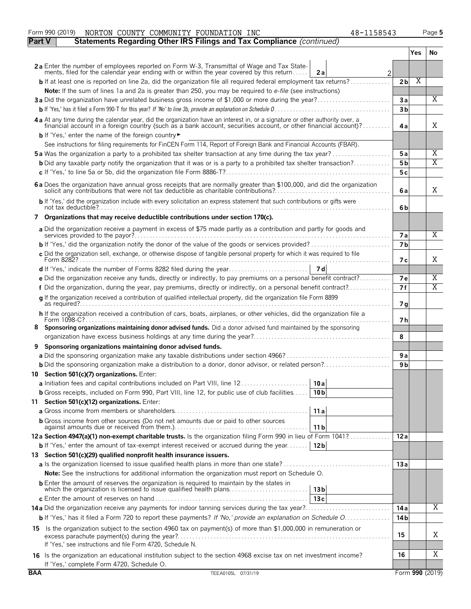|               | Form 990 (2019)<br>NORTON COUNTY COMMUNITY FOUNDATION INC<br>48-1158543                                                                                                                                                                          |                 |     | Page 5          |
|---------------|--------------------------------------------------------------------------------------------------------------------------------------------------------------------------------------------------------------------------------------------------|-----------------|-----|-----------------|
| <b>Part V</b> | Statements Regarding Other IRS Filings and Tax Compliance (continued)                                                                                                                                                                            |                 |     |                 |
|               |                                                                                                                                                                                                                                                  |                 | Yes | No.             |
|               | 2a Enter the number of employees reported on Form W-3, Transmittal of Wage and Tax State-<br>ments, filed for the calendar year ending with or within the year covered by this return<br>2a<br>2                                                 |                 |     |                 |
|               | $\mathsf{b}$ If at least one is reported on line 2a, did the organization file all required federal employment tax returns?                                                                                                                      | 2 <sub>b</sub>  | X   |                 |
|               | Note: If the sum of lines 1a and 2a is greater than 250, you may be required to e-file (see instructions)                                                                                                                                        |                 |     |                 |
|               | 3a Did the organization have unrelated business gross income of \$1,000 or more during the year?                                                                                                                                                 | Зa              |     | X               |
|               |                                                                                                                                                                                                                                                  | 3 <sub>b</sub>  |     |                 |
|               | 4a At any time during the calendar year, did the organization have an interest in, or a signature or other authority over, a<br>financial account in a foreign country (such as a bank account, securities account, or other financial account)? | 4a              |     | X               |
|               | b If 'Yes,' enter the name of the foreign country                                                                                                                                                                                                |                 |     |                 |
|               | See instructions for filing requirements for FinCEN Form 114, Report of Foreign Bank and Financial Accounts (FBAR).                                                                                                                              |                 |     |                 |
|               | <b>5a</b> Was the organization a party to a prohibited tax shelter transaction at any time during the tax year?                                                                                                                                  | 5a              |     | Χ<br>X          |
|               | <b>b</b> Did any taxable party notify the organization that it was or is a party to a prohibited tax shelter transaction?                                                                                                                        | 5b              |     |                 |
|               |                                                                                                                                                                                                                                                  | 5 c             |     |                 |
|               | 6 a Does the organization have annual gross receipts that are normally greater than \$100,000, and did the organization solicit any contributions that were not tax deductible as charitable contributions?                                      | 6a              |     | X               |
|               | b If 'Yes,' did the organization include with every solicitation an express statement that such contributions or gifts were                                                                                                                      | 6b              |     |                 |
|               | 7 Organizations that may receive deductible contributions under section 170(c).                                                                                                                                                                  |                 |     |                 |
|               | a Did the organization receive a payment in excess of \$75 made partly as a contribution and partly for goods and                                                                                                                                | <b>7a</b>       |     | $\overline{X}$  |
|               |                                                                                                                                                                                                                                                  | 7 <sub>b</sub>  |     |                 |
|               | c Did the organization sell, exchange, or otherwise dispose of tangible personal property for which it was required to file                                                                                                                      | 7 с             |     | X               |
|               |                                                                                                                                                                                                                                                  |                 |     |                 |
|               | e Did the organization receive any funds, directly or indirectly, to pay premiums on a personal benefit contract?                                                                                                                                | 7e              |     | Χ               |
|               | f Did the organization, during the year, pay premiums, directly or indirectly, on a personal benefit contract?                                                                                                                                   | 7f              |     | Χ               |
|               | g If the organization received a contribution of qualified intellectual property, did the organization file Form 8899                                                                                                                            | 7 g             |     |                 |
|               | h If the organization received a contribution of cars, boats, airplanes, or other vehicles, did the organization file a                                                                                                                          |                 |     |                 |
| 8             | Sponsoring organizations maintaining donor advised funds. Did a donor advised fund maintained by the sponsoring                                                                                                                                  | 7 h             |     |                 |
|               |                                                                                                                                                                                                                                                  | 8               |     |                 |
| 9             | Sponsoring organizations maintaining donor advised funds.                                                                                                                                                                                        |                 |     |                 |
|               |                                                                                                                                                                                                                                                  | 9a              |     |                 |
|               | <b>b</b> Did the sponsoring organization make a distribution to a donor, donor advisor, or related person?                                                                                                                                       | 9 <sub>b</sub>  |     |                 |
|               | 10 Section 501(c)(7) organizations. Enter:                                                                                                                                                                                                       |                 |     |                 |
|               | a Initiation fees and capital contributions included on Part VIII, line 12<br>10 a                                                                                                                                                               |                 |     |                 |
|               | <b>b</b> Gross receipts, included on Form 990, Part VIII, line 12, for public use of club facilities<br>10 <sub>b</sub>                                                                                                                          |                 |     |                 |
|               | 11 Section 501(c)(12) organizations. Enter:                                                                                                                                                                                                      |                 |     |                 |
|               | 11a                                                                                                                                                                                                                                              |                 |     |                 |
|               | <b>b</b> Gross income from other sources (Do not net amounts due or paid to other sources<br>11 b                                                                                                                                                |                 |     |                 |
|               | 12a Section 4947(a)(1) non-exempt charitable trusts. Is the organization filing Form 990 in lieu of Form 1041?                                                                                                                                   | 12a             |     |                 |
|               | 12 <sub>b</sub><br><b>b</b> If 'Yes,' enter the amount of tax-exempt interest received or accrued during the year                                                                                                                                |                 |     |                 |
|               | 13 Section 501(c)(29) qualified nonprofit health insurance issuers.                                                                                                                                                                              |                 |     |                 |
|               |                                                                                                                                                                                                                                                  | 13a             |     |                 |
|               | Note: See the instructions for additional information the organization must report on Schedule O.                                                                                                                                                |                 |     |                 |
|               | <b>b</b> Enter the amount of reserves the organization is required to maintain by the states in<br>which the organization is licensed to issue qualified health plans<br>13 <sub>b</sub>                                                         |                 |     |                 |
|               | 13c                                                                                                                                                                                                                                              |                 |     |                 |
|               |                                                                                                                                                                                                                                                  | 14 a            |     | Χ               |
|               | b If 'Yes,' has it filed a Form 720 to report these payments? If 'No,' provide an explanation on Schedule O                                                                                                                                      | 14 <sub>b</sub> |     |                 |
|               | 15 Is the organization subject to the section 4960 tax on payment(s) of more than \$1,000,000 in remuneration or                                                                                                                                 | 15              |     | Χ               |
|               | If 'Yes,' see instructions and file Form 4720, Schedule N.                                                                                                                                                                                       |                 |     |                 |
|               | 16 Is the organization an educational institution subject to the section 4968 excise tax on net investment income?<br>If 'Yes,' complete Form 4720, Schedule O.                                                                                  | 16              |     | Χ               |
| <b>BAA</b>    | TEEA0105L 07/31/19                                                                                                                                                                                                                               |                 |     | Form 990 (2019) |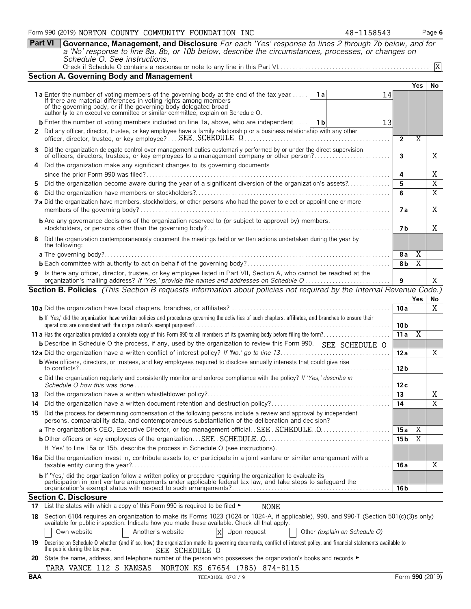|                                                                                                                   | <b>Part VI</b>                                                                                                          | Governance, Management, and Disclosure For each 'Yes' response to lines 2 through 7b below, and for<br>a 'No' response to line 8a, 8b, or 10b below, describe the circumstances, processes, or changes on<br>Schedule O. See instructions.                                                          |                               |                 |                |                |  |  |
|-------------------------------------------------------------------------------------------------------------------|-------------------------------------------------------------------------------------------------------------------------|-----------------------------------------------------------------------------------------------------------------------------------------------------------------------------------------------------------------------------------------------------------------------------------------------------|-------------------------------|-----------------|----------------|----------------|--|--|
|                                                                                                                   |                                                                                                                         |                                                                                                                                                                                                                                                                                                     |                               |                 |                | X              |  |  |
|                                                                                                                   |                                                                                                                         | <b>Section A. Governing Body and Management</b>                                                                                                                                                                                                                                                     |                               |                 |                |                |  |  |
|                                                                                                                   |                                                                                                                         |                                                                                                                                                                                                                                                                                                     |                               |                 | <b>Yes</b>     | No             |  |  |
|                                                                                                                   |                                                                                                                         | <b>1a</b> Enter the number of voting members of the governing body at the end of the tax year<br>If there are material differences in voting rights among members<br>of the governing body, or if the governing body delegated broad                                                                | 1 a<br>14                     |                 |                |                |  |  |
|                                                                                                                   |                                                                                                                         | authority to an executive committee or similar committee, explain on Schedule O.<br><b>b</b> Enter the number of voting members included on line 1a, above, who are independent 1b                                                                                                                  |                               |                 |                |                |  |  |
|                                                                                                                   |                                                                                                                         | 2 Did any officer, director, trustee, or key employee have a family relationship or a business relationship with any other<br>officer, director, trustee, or key employee?  SEE SCHEDULE O                                                                                                          | 13                            | $\overline{2}$  | Χ              |                |  |  |
| 3                                                                                                                 |                                                                                                                         | Did the organization delegate control over management duties customarily performed by or under the direct supervision<br>of officers, directors, trustees, or key employees to a management company or other person?                                                                                |                               | 3               |                | X              |  |  |
|                                                                                                                   |                                                                                                                         | Did the organization make any significant changes to its governing documents                                                                                                                                                                                                                        |                               |                 |                |                |  |  |
|                                                                                                                   |                                                                                                                         |                                                                                                                                                                                                                                                                                                     |                               | 4               |                | Χ              |  |  |
| 5.                                                                                                                |                                                                                                                         | Did the organization become aware during the year of a significant diversion of the organization's assets?                                                                                                                                                                                          |                               | 5               |                | $\overline{X}$ |  |  |
| 6                                                                                                                 |                                                                                                                         |                                                                                                                                                                                                                                                                                                     |                               | 6               |                | $\overline{X}$ |  |  |
|                                                                                                                   | 7 a Did the organization have members, stockholders, or other persons who had the power to elect or appoint one or more |                                                                                                                                                                                                                                                                                                     |                               |                 |                |                |  |  |
| <b>b</b> Are any governance decisions of the organization reserved to (or subject to approval by) members,<br>7 b |                                                                                                                         |                                                                                                                                                                                                                                                                                                     |                               |                 |                |                |  |  |
| 8                                                                                                                 |                                                                                                                         | Did the organization contemporaneously document the meetings held or written actions undertaken during the year by<br>the following:                                                                                                                                                                |                               |                 |                |                |  |  |
|                                                                                                                   |                                                                                                                         |                                                                                                                                                                                                                                                                                                     |                               | 8 a             | X              |                |  |  |
|                                                                                                                   |                                                                                                                         |                                                                                                                                                                                                                                                                                                     |                               | 8b              | $\overline{X}$ |                |  |  |
|                                                                                                                   |                                                                                                                         | Is there any officer, director, trustee, or key employee listed in Part VII, Section A, who cannot be reached at the<br>organization's mailing address? If 'Yes,' provide the names and addresses on Schedule Q                                                                                     |                               | 9               |                | X              |  |  |
|                                                                                                                   |                                                                                                                         | <b>Section B. Policies</b> (This Section B requests information about policies not required by the Internal Revenue Code.)                                                                                                                                                                          |                               |                 |                |                |  |  |
|                                                                                                                   |                                                                                                                         |                                                                                                                                                                                                                                                                                                     |                               |                 | <b>Yes</b>     | No             |  |  |
|                                                                                                                   |                                                                                                                         | b If 'Yes,' did the organization have written policies and procedures governing the activities of such chapters, affiliates, and branches to ensure their                                                                                                                                           |                               | 10a<br>10 b     |                | X              |  |  |
|                                                                                                                   |                                                                                                                         |                                                                                                                                                                                                                                                                                                     |                               | 11a             | $\overline{X}$ |                |  |  |
|                                                                                                                   |                                                                                                                         | <b>b</b> Describe in Schedule O the process, if any, used by the organization to review this Form 990. SEE SCHEDULE O                                                                                                                                                                               |                               |                 |                |                |  |  |
|                                                                                                                   |                                                                                                                         |                                                                                                                                                                                                                                                                                                     |                               | 12a             |                | X              |  |  |
|                                                                                                                   |                                                                                                                         | <b>b</b> Were officers, directors, or trustees, and key employees required to disclose annually interests that could give rise                                                                                                                                                                      |                               | 12 <sub>b</sub> |                |                |  |  |
|                                                                                                                   |                                                                                                                         | c Did the organization regularly and consistently monitor and enforce compliance with the policy? If 'Yes,' describe in                                                                                                                                                                             |                               | 12 c            |                |                |  |  |
| 13                                                                                                                |                                                                                                                         |                                                                                                                                                                                                                                                                                                     |                               | 13              |                | X              |  |  |
| 14                                                                                                                |                                                                                                                         |                                                                                                                                                                                                                                                                                                     |                               | 14              |                | $\overline{X}$ |  |  |
| 15.                                                                                                               |                                                                                                                         | Did the process for determining compensation of the following persons include a review and approval by independent<br>persons, comparability data, and contemporaneous substantiation of the deliberation and decision?                                                                             |                               |                 |                |                |  |  |
|                                                                                                                   |                                                                                                                         |                                                                                                                                                                                                                                                                                                     |                               | 15 a            | X              |                |  |  |
|                                                                                                                   |                                                                                                                         |                                                                                                                                                                                                                                                                                                     |                               | 15 b            | $\overline{X}$ |                |  |  |
|                                                                                                                   |                                                                                                                         | If 'Yes' to line 15a or 15b, describe the process in Schedule O (see instructions).                                                                                                                                                                                                                 |                               |                 |                |                |  |  |
|                                                                                                                   |                                                                                                                         | 16 a Did the organization invest in, contribute assets to, or participate in a joint venture or similar arrangement with a                                                                                                                                                                          |                               | 16 a            |                | Χ              |  |  |
|                                                                                                                   |                                                                                                                         | b If 'Yes,' did the organization follow a written policy or procedure requiring the organization to evaluate its<br>participation in joint venture arrangements under applicable federal tax law, and take steps to safeguard the                                                                   |                               | 16 b            |                |                |  |  |
|                                                                                                                   |                                                                                                                         | <b>Section C. Disclosure</b>                                                                                                                                                                                                                                                                        |                               |                 |                |                |  |  |
| 17                                                                                                                |                                                                                                                         | List the states with which a copy of this Form 990 is required to be filed ►<br><b>NONE</b>                                                                                                                                                                                                         |                               |                 |                |                |  |  |
|                                                                                                                   |                                                                                                                         | 18 Section 6104 requires an organization to make its Forms 1023 (1024 or 1024-A, if applicable), 990, and 990-T (Section 501(c)(3)s only)<br>available for public inspection. Indicate how you made these available. Check all that apply.<br>Another's website<br>Own website<br>X<br>Upon request | Other (explain on Schedule O) |                 |                |                |  |  |
|                                                                                                                   |                                                                                                                         | 19 Describe on Schedule O whether (and if so, how) the organization made its governing documents, conflict of interest policy, and financial statements available to<br>the public during the tax year.<br>SEE SCHEDULE O                                                                           |                               |                 |                |                |  |  |
|                                                                                                                   |                                                                                                                         | 20 State the name, address, and telephone number of the person who possesses the organization's books and records ►<br>TARA VANCE 112 S KANSAS NORTON KS 67654 (785) 874-8115                                                                                                                       |                               |                 |                |                |  |  |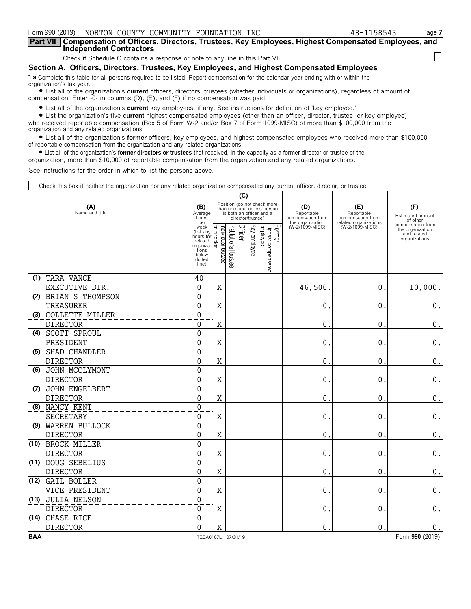| Form 990 (2019)  NORTON COUNTY COMMUNITY FOUNDATION INC                                                                                                        | 48-1158543 | Page 7 |
|----------------------------------------------------------------------------------------------------------------------------------------------------------------|------------|--------|
| Part VII   Compensation of Officers, Directors, Trustees, Key Employees, Highest Compensated Employees, and<br><b>Independent Contractors</b>                  |            |        |
|                                                                                                                                                                |            |        |
| Section A. Officers, Directors, Trustees, Key Employees, and Highest Compensated Employees                                                                     |            |        |
| 1 a Complete this table for all persons required to be listed. Report compensation for the calendar year ending with or within the<br>organization's tax year. |            |        |

? List all of the organization's **current** officers, directors, trustees (whether individuals or organizations), regardless of amount of compensation. Enter -0- in columns (D), (E), and (F) if no compensation was paid.

? List all of the organization's **current** key employees, if any. See instructions for definition of 'key employee.'

? List the organization's five **current** highest compensated employees (other than an officer, director, trustee, or key employee) who received reportable compensation (Box 5 of Form W-2 and/or Box 7 of Form 1099-MISC) of more than \$100,000 from the organization and any related organizations.

? List all of the organization's **former** officers, key employees, and highest compensated employees who received more than \$100,000 of reportable compensation from the organization and any related organizations.

? List all of the organization's **former directors or trustees** that received, in the capacity as a former director or trustee of the

organization, more than \$10,000 of reportable compensation from the organization and any related organizations.

See instructions for the order in which to list the persons above.

Check this box if neither the organization nor any related organization compensated any current officer, director, or trustee.

|                       |                                        | (C)                                                                                        |                                                                                                             |                          |         |              |                                 |        |                                                            |                                                                 |                                                                       |
|-----------------------|----------------------------------------|--------------------------------------------------------------------------------------------|-------------------------------------------------------------------------------------------------------------|--------------------------|---------|--------------|---------------------------------|--------|------------------------------------------------------------|-----------------------------------------------------------------|-----------------------------------------------------------------------|
| (A)<br>Name and title |                                        | (B)<br>Average<br>hours<br>per                                                             | Position (do not check more<br>than one box, unless person<br>is both an officer and a<br>director/trustee) |                          |         |              |                                 |        | (D)<br>Reportable<br>compensation from<br>the organization | (E)<br>Reportable<br>compensation from<br>related organizations | (F)<br>Estimated amount<br>of other                                   |
|                       |                                        | week<br>(list any<br>hours for<br>related<br>organiza<br>tions<br>below<br>dotted<br>line) | əətsut laubivibni<br>direct<br>₫                                                                            | Institutional<br>trustee | Officer | Key employee | Highest compensated<br>employee | Former | (W-2/1099-MISC)                                            | (W-2/1099-MISC)                                                 | compensation from<br>the organization<br>and related<br>organizations |
|                       | (1) TARA VANCE                         | 40                                                                                         |                                                                                                             |                          |         |              |                                 |        |                                                            |                                                                 |                                                                       |
|                       | EXECUTIVE DIR.                         | $\mathbf{0}$                                                                               | X                                                                                                           |                          |         |              |                                 |        | 46,500                                                     | 0.                                                              | 10,000.                                                               |
|                       | (2) BRIAN S THOMPSON                   | $\mathbf 0$                                                                                |                                                                                                             |                          |         |              |                                 |        |                                                            |                                                                 |                                                                       |
|                       | TREASURER                              | $\mathbf{0}$                                                                               | X                                                                                                           |                          |         |              |                                 |        | 0                                                          | $\mathbf{0}$                                                    | 0.                                                                    |
|                       | (3) COLLETTE MILLER<br><b>DIRECTOR</b> | $\overline{0}$<br>$\Omega$                                                                 | $\rm X$                                                                                                     |                          |         |              |                                 |        | 0                                                          | 0                                                               | $0$ .                                                                 |
|                       | (4) SCOTT SPROUL                       | $\mathbf 0$                                                                                |                                                                                                             |                          |         |              |                                 |        |                                                            |                                                                 |                                                                       |
|                       | PRESIDENT                              | $\mathbf{0}$                                                                               | Χ                                                                                                           |                          |         |              |                                 |        | 0                                                          | 0                                                               | $\boldsymbol{0}$ .                                                    |
|                       | (5) SHAD CHANDLER                      | $\mathbf 0$                                                                                |                                                                                                             |                          |         |              |                                 |        |                                                            |                                                                 |                                                                       |
|                       | <b>DIRECTOR</b>                        | $\mathbf{0}$                                                                               | X                                                                                                           |                          |         |              |                                 |        | 0                                                          | 0                                                               | 0.                                                                    |
|                       | (6) JOHN MCCLYMONT                     | $\mathbf 0$                                                                                |                                                                                                             |                          |         |              |                                 |        |                                                            |                                                                 |                                                                       |
|                       | <b>DIRECTOR</b>                        | $\Omega$                                                                                   | $\rm X$                                                                                                     |                          |         |              |                                 |        | 0                                                          | 0                                                               | $\boldsymbol{0}$ .                                                    |
|                       | (7) JOHN ENGELBERT                     | $\overline{0}$                                                                             |                                                                                                             |                          |         |              |                                 |        |                                                            |                                                                 |                                                                       |
|                       | <b>DIRECTOR</b>                        | $\Omega$                                                                                   | $\mathbf X$                                                                                                 |                          |         |              |                                 |        | 0                                                          | $\mathbf{0}$                                                    | $\boldsymbol{0}$ .                                                    |
|                       | (8) NANCY KENT                         | $\mathbf 0$                                                                                |                                                                                                             |                          |         |              |                                 |        |                                                            |                                                                 |                                                                       |
|                       | SECRETARY                              | $\mathbf{0}$                                                                               | X                                                                                                           |                          |         |              |                                 |        | 0                                                          | $\mathbf{0}$                                                    | 0.                                                                    |
|                       | (9) WARREN BULLOCK                     | $\mathbf 0$                                                                                |                                                                                                             |                          |         |              |                                 |        |                                                            |                                                                 |                                                                       |
|                       | <b>DIRECTOR</b>                        | $\Omega$                                                                                   | X                                                                                                           |                          |         |              |                                 |        | 0                                                          | 0                                                               | 0.                                                                    |
|                       | (10) BROCK MILLER                      | $\overline{0}$                                                                             |                                                                                                             |                          |         |              |                                 |        |                                                            |                                                                 |                                                                       |
|                       | <b>DIRECTOR</b>                        | $\Omega$                                                                                   | X                                                                                                           |                          |         |              |                                 |        | 0                                                          | 0                                                               | 0.                                                                    |
|                       | (11) DOUG SEBELIUS                     | $\mathbf 0$                                                                                |                                                                                                             |                          |         |              |                                 |        |                                                            |                                                                 |                                                                       |
|                       | <b>DIRECTOR</b>                        | $\pmb{0}$                                                                                  | X                                                                                                           |                          |         |              |                                 |        | 0                                                          | 0                                                               | $\boldsymbol{0}$ .                                                    |
|                       | (12) GAIL BOLLER                       | $\mathbf 0$                                                                                |                                                                                                             |                          |         |              |                                 |        |                                                            |                                                                 |                                                                       |
|                       | VICE PRESIDENT                         | 0                                                                                          | X                                                                                                           |                          |         |              |                                 |        | 0                                                          | $\pmb{0}$                                                       | $\boldsymbol{0}$ .                                                    |
| (13)                  | <b>JULIA NELSON</b>                    | $\overline{0}$                                                                             |                                                                                                             |                          |         |              |                                 |        |                                                            |                                                                 |                                                                       |
|                       | <b>DIRECTOR</b>                        | $\Omega$                                                                                   | X                                                                                                           |                          |         |              |                                 |        | 0                                                          | 0                                                               | 0.                                                                    |
|                       | (14) CHASE RICE                        | $\mathbf 0$                                                                                |                                                                                                             |                          |         |              |                                 |        |                                                            |                                                                 |                                                                       |
|                       | <b>DIRECTOR</b>                        | $\Omega$                                                                                   | X                                                                                                           |                          |         |              |                                 |        | 0                                                          | $\mathbf 0$                                                     | 0.                                                                    |
| <b>BAA</b>            |                                        | TEEA0107L 07/31/19                                                                         |                                                                                                             |                          |         |              |                                 |        |                                                            |                                                                 | Form 990 (2019)                                                       |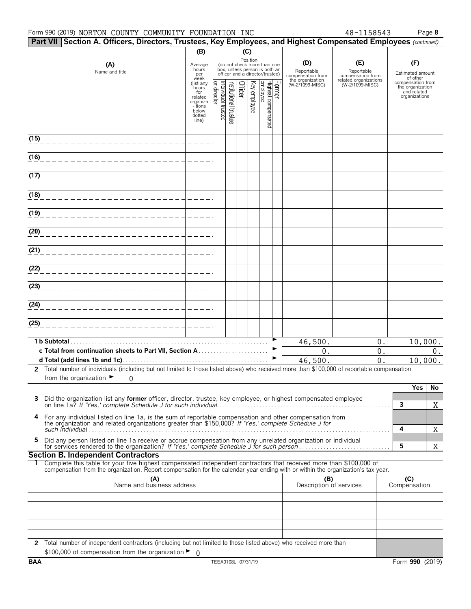### Form 990 (2019) Page **8** NORTON COUNTY COMMUNITY FOUNDATION INC 48-1158543

|  | 48-115854 |  |
|--|-----------|--|
|  |           |  |

| (counting connit counting fooled the<br>Part VII Section A. Officers, Directors, Trustees, Key Employees, and Highest Compensated Employees (continued)                                                                                                |                                                             |                               |                                 |              |                                                                                                 |                                        |                                          |                                                                       |
|--------------------------------------------------------------------------------------------------------------------------------------------------------------------------------------------------------------------------------------------------------|-------------------------------------------------------------|-------------------------------|---------------------------------|--------------|-------------------------------------------------------------------------------------------------|----------------------------------------|------------------------------------------|-----------------------------------------------------------------------|
|                                                                                                                                                                                                                                                        | (B)                                                         |                               |                                 | (C)          |                                                                                                 |                                        |                                          |                                                                       |
| (A)<br>Name and title                                                                                                                                                                                                                                  | Average<br>hours<br>per<br>week                             |                               |                                 | Position     | (do not check more than one<br>box, unless person is both an<br>officer and a director/trustee) | (D)<br>Reportable<br>compensation from | (E)<br>Reportable<br>compensation from   | (F)<br>Estimated amount<br>of other                                   |
|                                                                                                                                                                                                                                                        | (list any<br>hours<br>for<br>related<br>organiza<br>- tions | ndividual trustee<br>director | Officer<br>nstitutional trustee | Key employee | Former<br> Highest compensated<br> employee                                                     | the organization<br>(W-2/1099-MISC)    | related organizations<br>(W-2/1099-MISC) | compensation from<br>the organization<br>and related<br>organizations |
|                                                                                                                                                                                                                                                        | below<br>dotted<br>line)                                    |                               |                                 |              |                                                                                                 |                                        |                                          |                                                                       |
| (15)                                                                                                                                                                                                                                                   |                                                             |                               |                                 |              |                                                                                                 |                                        |                                          |                                                                       |
| (16)                                                                                                                                                                                                                                                   |                                                             |                               |                                 |              |                                                                                                 |                                        |                                          |                                                                       |
| (17)                                                                                                                                                                                                                                                   |                                                             |                               |                                 |              |                                                                                                 |                                        |                                          |                                                                       |
| (18)                                                                                                                                                                                                                                                   |                                                             |                               |                                 |              |                                                                                                 |                                        |                                          |                                                                       |
| (19)                                                                                                                                                                                                                                                   |                                                             |                               |                                 |              |                                                                                                 |                                        |                                          |                                                                       |
| (20)                                                                                                                                                                                                                                                   |                                                             |                               |                                 |              |                                                                                                 |                                        |                                          |                                                                       |
| (21)                                                                                                                                                                                                                                                   |                                                             |                               |                                 |              |                                                                                                 |                                        |                                          |                                                                       |
| (22)                                                                                                                                                                                                                                                   |                                                             |                               |                                 |              |                                                                                                 |                                        |                                          |                                                                       |
| (23)                                                                                                                                                                                                                                                   |                                                             |                               |                                 |              |                                                                                                 |                                        |                                          |                                                                       |
| (24)                                                                                                                                                                                                                                                   |                                                             |                               |                                 |              |                                                                                                 |                                        |                                          |                                                                       |
| (25)                                                                                                                                                                                                                                                   |                                                             |                               |                                 |              |                                                                                                 |                                        |                                          |                                                                       |
|                                                                                                                                                                                                                                                        |                                                             |                               |                                 |              |                                                                                                 | 46,500.                                | 0.                                       | 10,000.                                                               |
|                                                                                                                                                                                                                                                        |                                                             |                               |                                 |              |                                                                                                 | 0.                                     | $0$ .                                    | 0.                                                                    |
| 2 Total number of individuals (including but not limited to those listed above) who received more than \$100,000 of reportable compensation                                                                                                            |                                                             |                               |                                 |              |                                                                                                 | 46,500.                                | 0.                                       | 10,000.                                                               |
| from the organization $\blacktriangleright$ 0                                                                                                                                                                                                          |                                                             |                               |                                 |              |                                                                                                 |                                        |                                          |                                                                       |
| Did the organization list any <b>former</b> officer, director, trustee, key employee, or highest compensated employee<br>3<br>on line 1a? If 'Yes,' complete Schedule J for such individual                                                            |                                                             |                               |                                 |              |                                                                                                 |                                        |                                          | Yes<br>No<br>$\mathbf{3}$<br>X                                        |
| For any individual listed on line 1a, is the sum of reportable compensation and other compensation from<br>4<br>the organization and related organizations greater than \$150,000? If 'Yes,' complete Schedule J for                                   |                                                             |                               |                                 |              |                                                                                                 |                                        |                                          | 4<br>X                                                                |
| 5<br>Did any person listed on line 1a receive or accrue compensation from any unrelated organization or individual<br>for services rendered to the organization? If 'Yes,' complete Schedule J for such person                                         |                                                             |                               |                                 |              |                                                                                                 |                                        |                                          | 5<br>X                                                                |
| <b>Section B. Independent Contractors</b>                                                                                                                                                                                                              |                                                             |                               |                                 |              |                                                                                                 |                                        |                                          |                                                                       |
| Complete this table for your five highest compensated independent contractors that received more than \$100,000 of<br>compensation from the organization. Report compensation for the calendar year ending with or within the organization's tax year. |                                                             |                               |                                 |              |                                                                                                 |                                        |                                          |                                                                       |
| (A)<br>Name and business address                                                                                                                                                                                                                       |                                                             |                               |                                 |              |                                                                                                 | (B)<br>Description of services         |                                          | (C)<br>Compensation                                                   |
|                                                                                                                                                                                                                                                        |                                                             |                               |                                 |              |                                                                                                 |                                        |                                          |                                                                       |
|                                                                                                                                                                                                                                                        |                                                             |                               |                                 |              |                                                                                                 |                                        |                                          |                                                                       |
| 2 Total number of independent contractors (including but not limited to those listed above) who received more than<br>\$100,000 of compensation from the organization $\blacktriangleright$ 0                                                          |                                                             |                               |                                 |              |                                                                                                 |                                        |                                          |                                                                       |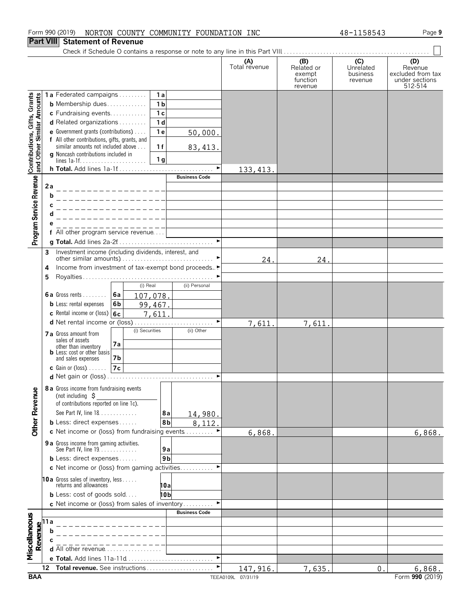## Form 990 (2019) Page **9** NORTON COUNTY COMMUNITY FOUNDATION INC 48-1158543

# **Part VIII Statement of Revenue**

Check if Schedule O contains a response or note to any line in this Part VIII. . . . . . . . . . . . . . . . . . . . . . . . . . . . . . . . . . . . . . . . . . . . . . . . .

|                                                           |                                |                                                                                     |                |                       | (A)<br>Total revenue | (B)<br>Related or  | (C)<br>Unrelated    | (D)<br>Revenue<br>excluded from tax |
|-----------------------------------------------------------|--------------------------------|-------------------------------------------------------------------------------------|----------------|-----------------------|----------------------|--------------------|---------------------|-------------------------------------|
|                                                           |                                |                                                                                     |                |                       |                      | exempt<br>function | business<br>revenue | under sections                      |
|                                                           |                                | 1a Federated campaigns                                                              | 1a             |                       |                      | revenue            |                     | 512-514                             |
| Contributions, Gifts, Grants<br>and Other Similar Amounts |                                | <b>b</b> Membership dues                                                            | 1 <sub>b</sub> |                       |                      |                    |                     |                                     |
|                                                           |                                | c Fundraising events                                                                | 1 <sub>c</sub> |                       |                      |                    |                     |                                     |
|                                                           |                                | d Related organizations                                                             | 1 <sub>d</sub> |                       |                      |                    |                     |                                     |
|                                                           |                                | e Government grants (contributions)                                                 | 1 <sub>e</sub> | 50,000.               |                      |                    |                     |                                     |
|                                                           |                                | f All other contributions, gifts, grants, and<br>similar amounts not included above |                |                       |                      |                    |                     |                                     |
|                                                           |                                | g Noncash contributions included in                                                 | 1f             | 83, 413.              |                      |                    |                     |                                     |
|                                                           |                                | lines $1a-1f$                                                                       | 1 <sub>g</sub> |                       |                      |                    |                     |                                     |
|                                                           |                                |                                                                                     |                | ►                     | 133, 413.            |                    |                     |                                     |
| Program Service Revenue                                   | 2a                             |                                                                                     |                | <b>Business Code</b>  |                      |                    |                     |                                     |
|                                                           | b                              |                                                                                     |                |                       |                      |                    |                     |                                     |
|                                                           |                                |                                                                                     |                |                       |                      |                    |                     |                                     |
|                                                           |                                |                                                                                     |                |                       |                      |                    |                     |                                     |
|                                                           |                                |                                                                                     |                |                       |                      |                    |                     |                                     |
|                                                           |                                | $\overline{f}$ All other program service revenue                                    |                |                       |                      |                    |                     |                                     |
|                                                           |                                |                                                                                     |                | $\blacktriangleright$ |                      |                    |                     |                                     |
|                                                           | 3                              |                                                                                     |                |                       |                      |                    |                     |                                     |
|                                                           | 4                              | Income from investment of tax-exempt bond proceeds▶                                 |                |                       | 24.                  | 24.                |                     |                                     |
|                                                           | 5                              |                                                                                     |                |                       |                      |                    |                     |                                     |
|                                                           |                                |                                                                                     | (i) Real       | (ii) Personal         |                      |                    |                     |                                     |
|                                                           |                                | <b>6a</b> Gross rents $\vert$ 6a                                                    | 107,078.       |                       |                      |                    |                     |                                     |
|                                                           |                                | <b>b</b> Less: rental expenses<br>6 <sub>b</sub>                                    | 99,467.        |                       |                      |                    |                     |                                     |
|                                                           |                                | c Rental income or (loss) 6c                                                        | 7,611.         |                       |                      |                    |                     |                                     |
|                                                           |                                |                                                                                     |                | $\blacktriangleright$ | 7,611.               | 7,611.             |                     |                                     |
|                                                           |                                | <b>7 a</b> Gross amount from                                                        | (i) Securities | (ii) Other            |                      |                    |                     |                                     |
|                                                           |                                | sales of assets<br>7a<br>other than inventory                                       |                |                       |                      |                    |                     |                                     |
|                                                           |                                | <b>b</b> Less: cost or other basis<br>7b<br>and sales expenses                      |                |                       |                      |                    |                     |                                     |
|                                                           |                                | 7c<br><b>c</b> Gain or (loss) $\ldots$ .                                            |                |                       |                      |                    |                     |                                     |
|                                                           |                                |                                                                                     |                | ►                     |                      |                    |                     |                                     |
|                                                           |                                | 8 a Gross income from fundraising events                                            |                |                       |                      |                    |                     |                                     |
| å                                                         |                                | (not including $\sharp$                                                             |                |                       |                      |                    |                     |                                     |
|                                                           |                                | of contributions reported on line 1c).                                              |                |                       |                      |                    |                     |                                     |
|                                                           |                                | See Part IV, line 18                                                                | 8а             | 14,980.               |                      |                    |                     |                                     |
| <b>Other Reve</b>                                         |                                | <b>b</b> Less: direct expenses                                                      | 8b             | 8,112                 |                      |                    |                     |                                     |
|                                                           |                                | c Net income or (loss) from fundraising events                                      |                |                       | 6,868.               |                    |                     | 6,868.                              |
|                                                           |                                | <b>9 a</b> Gross income from gaming activities.<br>See Part IV, line 19             | 9а             |                       |                      |                    |                     |                                     |
|                                                           |                                | <b>b</b> Less: direct expenses                                                      | 9 <sub>b</sub> |                       |                      |                    |                     |                                     |
|                                                           |                                | c Net income or (loss) from gaming activities                                       |                |                       |                      |                    |                     |                                     |
|                                                           |                                |                                                                                     |                |                       |                      |                    |                     |                                     |
|                                                           |                                | <b>10a</b> Gross sales of inventory, less<br>returns and allowances                 | l0a            |                       |                      |                    |                     |                                     |
|                                                           |                                | <b>b</b> Less: cost of goods sold                                                   | 10b            |                       |                      |                    |                     |                                     |
|                                                           |                                | c Net income or (loss) from sales of inventory                                      |                |                       |                      |                    |                     |                                     |
|                                                           |                                |                                                                                     |                | <b>Business Code</b>  |                      |                    |                     |                                     |
| Miscellaneous                                             | Revenue<br>$\alpha$ b $\alpha$ |                                                                                     |                |                       |                      |                    |                     |                                     |
|                                                           |                                |                                                                                     |                |                       |                      |                    |                     |                                     |
|                                                           |                                | <b>d</b> All other revenue $\ldots$                                                 |                |                       |                      |                    |                     |                                     |
|                                                           |                                |                                                                                     |                | $\blacktriangleright$ |                      |                    |                     |                                     |
|                                                           | 12                             | Total revenue. See instructions                                                     |                |                       | 147, 916.            | 7,635.             | 0.                  | 6,868.                              |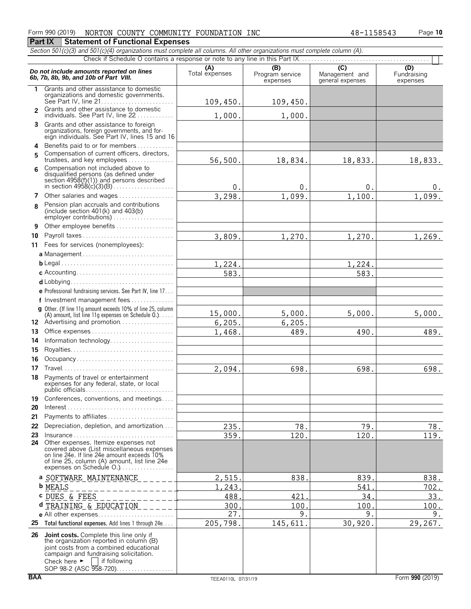### Form 990 (2019) NORTON COUNTY COMMUNITY FOUNDATION INC  $\begin{array}{cc} 48-1158543 & \text{Page 10} \end{array}$ **Part IX** Statement of Functional Expenses

### *Section 501(c)(3) and 501(c)(4) organizations must complete all columns. All other organizations must complete column (A).* Check if Schedule O contains a response or note to any line in this Part IX. **Do not include amounts reported on lines**<br> **C) (C) (C) (D)**<br> **6b, 7b, 8b, 9b, and 10b of Part VIII.** Total expenses Total expenses expenses expenses expenses expenses **1** Grants and other assistance to domestic organizations and domestic governments. See Part IV, line 21. . . . . . . . . . . . . . . . . . . . . . . . Grants and other assistance to domestic **2** individuals. See Part IV, line 22 . . . . . . . **3** Grants and other assistance to foreign organizations, foreign governments, and for-eign individuals. See Part IV, lines 15 and 16 **4** Benefits paid to or for members. . . . . . . . . . . . . Compensation of current officers, directors, **5** trustees, and key employees . . . . . . . . . . . Compensation not included above to **6** disqualified persons (as defined under section 4958(f)(1)) and persons described in section 4958(c)(3)(B). . . . . . . . . . . . . . . . . . . . **7** Other salaries and wages................ Pension plan accruals and contributions **8** (include section 401(k) and 403(b) employer contributions) . . . . . . . . . . **9** Other employee benefits . . . . . . . **10** Payroll taxes . . . . . . . . . . . . . . . . . **11** Fees for services (nonemployees): **a** Management . . . . . . . . . . . . . . . . . . . . . . . . . . . . . . **b** Legal. . . . . . . . . . . . . . . . . . . . . . . . . . . . . . . . . . . . . . **c** Accounting. . . . . . . . . . . . . . . . . . . . . . . . . . . . . . . . **d** Lobbying. . . . . . . . . . . . . . . . . . . . . . . . . . . . . . . . . . **e** Professional fundraising services. See Part IV, line 17. . . **f** Investment management fees. . . . . . . . . . . . . . . **g** Other. (If line 11g amount exceeds 10% of line 25, column (A) amount, list line 11g expenses on Schedule O.). . . . . 12 Advertising and promotion. . . . . . . . . . . **13** Office expenses . . . . . . . . . . . . . . . . . . **14** Information technology. . . . . . . . . . . . **15** Royalties. . . . . . . . . . . . . . . . . . . . . . . . . . . . . . . . . . **16** Occupancy . . . . . . . . . . . **17** Travel. . . . . . . . . . . . . . . . . . . . . . . . . . . . . . . . . . . . . **18** Payments of travel or entertainment expenses for any federal, state, or local public officials. . . . . . . . . . . . . . . . . . . . . . . . . . . . . **19** Conferences, conventions, and meetings.... **20** Interest. . . . . . . . . . . . . . . . . . . . . . . . . . . . . . . . . . . . 21 Payments to affiliates. . . . . . . . . . . . . . . . . **22** Depreciation, depletion, and amortization. . . . **23** Insurance . . . . . . . . . . . . . . . . . . . . . . . . . . . . . . . . . **24** Other expenses. Itemize expenses not covered above (List miscellaneous expenses on line 24e. If line 24e amount exceeds 10% of line 25, column (A) amount, list line 24e expenses on Schedule O.).................. **a** SOFTWARE MAINTENANCE **b** MEALS **c** DUES & FEES **d** TRAINING & EDUCATION**e** All other expenses. . . . . . . . . . . . . . . . **25 Total functional expenses.** Add lines 1 through 24e. . . . **26 Joint costs.** Complete this line only if the organization reported in column (B) joint costs from a combined educational campaign and fundraising solicitation.<br>Check here  $\blacktriangleright \Box$  if following Check here  $\blacktriangleright$ 109,450. 109,450. 1,000. 1,000. 56,500. 18,834. 18,833. 18,833.  $0.$  0. 0. 0. 0. 3,298. 1,099. 1,100. 1,099. 3,809. 1,270. 1,270. 1,269. 1,224. 1,224. 583. 583. 15,000. 5,000. 5,000. 5,000. 6,205. 6,205. 1,468. 489. 489. 489. 2,094. 698. 698. 698. 235. 78. 79. 79. 359. 120. 120. 120. 119. 2,515. 838. 838. 839. 838.  $1,243.$  702. <u>488. 421. 34. 33.</u> <u>300. 100. 100. 100. 100. 100.</u>  $27.$  9. 9. 9. 205,798. 145,611. 30,920. 29,267.

SOP 98-2 (ASC 958-720). . . . . . . . . . . .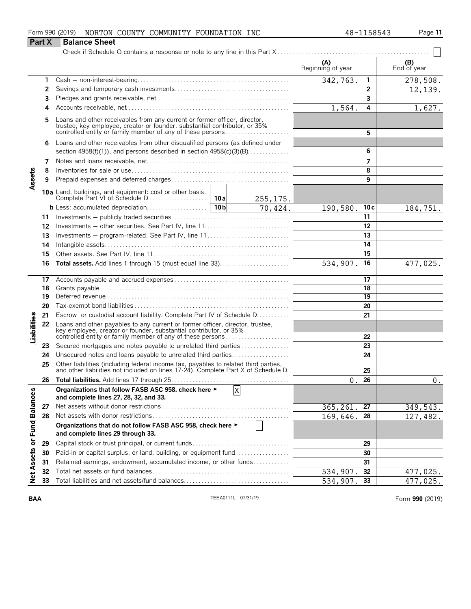|                             |               | Form 990 (2019)<br>NORTON COUNTY COMMUNITY FOUNDATION INC                                                                                                                                                        |                          | 48-1158543      | Page 11            |
|-----------------------------|---------------|------------------------------------------------------------------------------------------------------------------------------------------------------------------------------------------------------------------|--------------------------|-----------------|--------------------|
|                             | <b>Part X</b> | <b>Balance Sheet</b>                                                                                                                                                                                             |                          |                 |                    |
|                             |               |                                                                                                                                                                                                                  |                          |                 |                    |
|                             |               |                                                                                                                                                                                                                  | (A)<br>Beginning of year |                 | (B)<br>End of year |
|                             | 1.            |                                                                                                                                                                                                                  | 342,763.                 | 1               | 278,508.           |
|                             | 2             |                                                                                                                                                                                                                  |                          | $\overline{2}$  | 12,139.            |
|                             | 3             |                                                                                                                                                                                                                  |                          | 3               |                    |
|                             | 4             |                                                                                                                                                                                                                  | 1,564.                   | 4               | 1,627.             |
|                             |               |                                                                                                                                                                                                                  |                          |                 |                    |
|                             |               | Loans and other receivables from any current or former officer, director, trustee, key employee, creator or founder, substantial contributor, or 35% controlled entity or family member of any of these persons  |                          |                 |                    |
|                             |               |                                                                                                                                                                                                                  |                          | 5               |                    |
|                             | 6             | Loans and other receivables from other disqualified persons (as defined under                                                                                                                                    |                          | 6               |                    |
|                             |               | section $4958(f)(1)$ , and persons described in section $4958(c)(3)(B)$                                                                                                                                          |                          |                 |                    |
|                             | 7             |                                                                                                                                                                                                                  |                          | 7               |                    |
|                             | 8             |                                                                                                                                                                                                                  |                          | 8               |                    |
| Assets                      | 9             |                                                                                                                                                                                                                  |                          | 9               |                    |
|                             |               | 255, 175.                                                                                                                                                                                                        |                          |                 |                    |
|                             |               | 70,424.                                                                                                                                                                                                          | 190,580                  | 10c             | 184,751.           |
|                             | 11            |                                                                                                                                                                                                                  |                          | 11              |                    |
|                             | 12            |                                                                                                                                                                                                                  |                          | 12              |                    |
|                             | 13            | Investments - program-related. See Part IV, line 11                                                                                                                                                              |                          | 13              |                    |
|                             | 14            |                                                                                                                                                                                                                  |                          | 14              |                    |
|                             | 15            |                                                                                                                                                                                                                  |                          | 15              |                    |
|                             | 16            |                                                                                                                                                                                                                  | 534,907.                 | 16              | 477,025.           |
|                             | 17            |                                                                                                                                                                                                                  |                          | 17              |                    |
|                             | 18            |                                                                                                                                                                                                                  |                          | 18              |                    |
|                             | 19            |                                                                                                                                                                                                                  |                          | $\overline{19}$ |                    |
|                             | 20            |                                                                                                                                                                                                                  |                          | 20              |                    |
|                             | 21            | Escrow or custodial account liability. Complete Part IV of Schedule D.                                                                                                                                           |                          | 21              |                    |
| Liabilities                 | 22            | Loans and other payables to any current or former officer, director, trustee,<br>key employee, creator or founder, substantial contributor, or 35%<br>controlled entity or family member of any of these persons |                          | 22              |                    |
|                             | 23            | Secured mortgages and notes payable to unrelated third parties                                                                                                                                                   |                          | 23              |                    |
|                             | 24            | Unsecured notes and loans payable to unrelated third parties                                                                                                                                                     |                          | 24              |                    |
|                             | 25            | Other liabilities (including federal income tax, payables to related third parties, and other liabilities not included on lines 17-24). Complete Part X of Schedule D.                                           |                          | 25              |                    |
|                             | 26            |                                                                                                                                                                                                                  | 0.                       | 26              | $0$ .              |
|                             |               | $\overline{X}$<br>Organizations that follow FASB ASC 958, check here ►                                                                                                                                           |                          |                 |                    |
|                             |               | and complete lines 27, 28, 32, and 33.                                                                                                                                                                           |                          |                 |                    |
|                             | 27            |                                                                                                                                                                                                                  | 365,261                  | 27              | 349,543.           |
|                             | 28            |                                                                                                                                                                                                                  | 169,646.                 | 28              | 127,482.           |
|                             |               | Organizations that do not follow FASB ASC 958, check here ►                                                                                                                                                      |                          |                 |                    |
|                             |               | and complete lines 29 through 33.                                                                                                                                                                                |                          |                 |                    |
| Net Assets or Fund Balances | 29            |                                                                                                                                                                                                                  |                          | 29              |                    |
|                             | 30            | Paid-in or capital surplus, or land, building, or equipment fund                                                                                                                                                 |                          | 30              |                    |
|                             | 31            | Retained earnings, endowment, accumulated income, or other funds                                                                                                                                                 |                          | 31              |                    |
|                             | 32            |                                                                                                                                                                                                                  | 534,907                  | 32              | 477,025.           |
|                             | 33            |                                                                                                                                                                                                                  | 534,907.                 | 33              | 477,025.           |

**BAA** TEEA0111L 07/31/19 Form **990** (2019)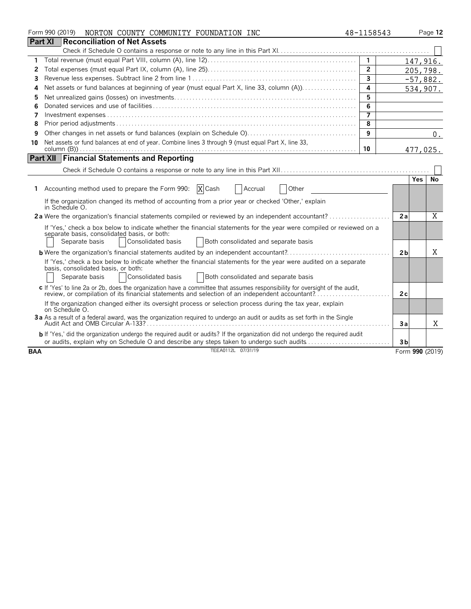|                | Form 990 (2019)<br>NORTON COUNTY COMMUNITY FOUNDATION INC                                                                                                                                                                               | 48-1158543     |                |       | Page 12         |
|----------------|-----------------------------------------------------------------------------------------------------------------------------------------------------------------------------------------------------------------------------------------|----------------|----------------|-------|-----------------|
| <b>Part XI</b> | Reconciliation of Net Assets                                                                                                                                                                                                            |                |                |       |                 |
|                |                                                                                                                                                                                                                                         |                |                |       |                 |
| 1              |                                                                                                                                                                                                                                         | $\mathbf{1}$   |                |       | 147,916.        |
| 2              |                                                                                                                                                                                                                                         | $\overline{2}$ |                |       | 205,798.        |
| 3              |                                                                                                                                                                                                                                         | 3              |                |       | $-57,882.$      |
| 4              | Net assets or fund balances at beginning of year (must equal Part X, line 33, column (A))                                                                                                                                               | 4              |                |       | 534,907.        |
| 5              |                                                                                                                                                                                                                                         | 5              |                |       |                 |
| 6              |                                                                                                                                                                                                                                         | 6              |                |       |                 |
| 7              |                                                                                                                                                                                                                                         | $\overline{7}$ |                |       |                 |
| 8              |                                                                                                                                                                                                                                         | 8              |                |       |                 |
| 9              |                                                                                                                                                                                                                                         | 9              |                |       | 0.              |
| 10             | Net assets or fund balances at end of year. Combine lines 3 through 9 (must equal Part X, line 33,                                                                                                                                      |                |                |       |                 |
|                |                                                                                                                                                                                                                                         | 10             |                |       | 477,025.        |
|                | <b>Part XII Financial Statements and Reporting</b>                                                                                                                                                                                      |                |                |       |                 |
|                |                                                                                                                                                                                                                                         |                |                |       |                 |
|                |                                                                                                                                                                                                                                         |                |                | Yes I | No              |
|                | 1 Accounting method used to prepare the Form 990: $X$ Cash<br><b>Accrual</b><br>Other                                                                                                                                                   |                |                |       |                 |
|                | If the organization changed its method of accounting from a prior year or checked 'Other,' explain<br>in Schedule O.                                                                                                                    |                |                |       |                 |
|                | 2a Were the organization's financial statements compiled or reviewed by an independent accountant?                                                                                                                                      |                | 2a             |       | X               |
|                | If 'Yes,' check a box below to indicate whether the financial statements for the year were compiled or reviewed on a<br>separate basis, consolidated basis, or both:                                                                    |                |                |       |                 |
|                | Separate basis<br>Consolidated basis<br>Both consolidated and separate basis                                                                                                                                                            |                |                |       |                 |
|                | <b>b</b> Were the organization's financial statements audited by an independent accountant?                                                                                                                                             |                | 2 <sub>b</sub> |       | X               |
|                | If 'Yes,' check a box below to indicate whether the financial statements for the year were audited on a separate<br>basis, consolidated basis, or both:<br>Consolidated basis<br>Separate basis<br>Both consolidated and separate basis |                |                |       |                 |
|                | c If 'Yes' to line 2a or 2b, does the organization have a committee that assumes responsibility for oversight of the audit,                                                                                                             |                |                |       |                 |
|                | review, or compilation of its financial statements and selection of an independent accountant?                                                                                                                                          |                | 2c             |       |                 |
|                | If the organization changed either its oversight process or selection process during the tax year, explain<br>on Schedule O.                                                                                                            |                |                |       |                 |
|                | 3a As a result of a federal award, was the organization required to undergo an audit or audits as set forth in the Single                                                                                                               |                | 3a             |       | X               |
|                | <b>b</b> If 'Yes,' did the organization undergo the required audit or audits? If the organization did not undergo the required audit<br>or audits, explain why on Schedule O and describe any steps taken to undergo such audits        |                | 3 <sub>b</sub> |       |                 |
| <b>BAA</b>     | TEEA0112L 07/31/19                                                                                                                                                                                                                      |                |                |       | Form 990 (2019) |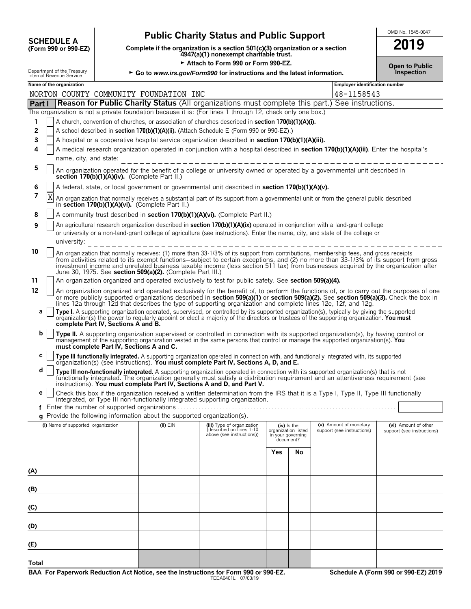| <b>SCHEDULE A</b>    |  |
|----------------------|--|
| (Form 990 or 990.FZ) |  |

# **Public Charity Status and Public Support**  $\frac{\text{OMB NO. 1545-0047}}{221 \Omega}$

**COMPOUTE A**<br>(Form 990 or 990-EZ) Complete if the organization is a section 501(c)(3) organization or a section<br>4947(a)(1) nonexempt charitable trust.

Attach to Form 990 or Form 990-FZ.

| Department of the Treasury<br>Internal Revenue Service |                                               | Allach lu Fuilli 990 UI Fuilli 990-<br>► Go to www.irs.gov/Form990 for instructions and the latest information. |                                                                                                                                                                                                                                                                                                                                                                                                                                                                                                                                                           |                   |                                                   |                                                      | <b>Open to Public</b><br>Inspection                |
|--------------------------------------------------------|-----------------------------------------------|-----------------------------------------------------------------------------------------------------------------|-----------------------------------------------------------------------------------------------------------------------------------------------------------------------------------------------------------------------------------------------------------------------------------------------------------------------------------------------------------------------------------------------------------------------------------------------------------------------------------------------------------------------------------------------------------|-------------------|---------------------------------------------------|------------------------------------------------------|----------------------------------------------------|
| Name of the organization                               |                                               |                                                                                                                 |                                                                                                                                                                                                                                                                                                                                                                                                                                                                                                                                                           |                   |                                                   | <b>Employer identification number</b>                |                                                    |
| NORTON COUNTY COMMUNITY FOUNDATION INC                 |                                               |                                                                                                                 |                                                                                                                                                                                                                                                                                                                                                                                                                                                                                                                                                           |                   |                                                   | 48-1158543                                           |                                                    |
| Part I                                                 |                                               |                                                                                                                 | <b>Reason for Public Charity Status</b> (All organizations must complete this part.) See instructions.                                                                                                                                                                                                                                                                                                                                                                                                                                                    |                   |                                                   |                                                      |                                                    |
| 1<br>2<br>3<br>4<br>name, city, and state:             |                                               |                                                                                                                 | The organization is not a private foundation because it is: (For lines 1 through 12, check only one box.)<br>A church, convention of churches, or association of churches described in section 170(b)(1)(A)(i).<br>A school described in section 170(b)(1)(A)(ii). (Attach Schedule E (Form 990 or 990-EZ).)<br>A hospital or a cooperative hospital service organization described in section 170(b)(1)(A)(iii).<br>A medical research organization operated in conjunction with a hospital described in section 170(b)(1)(A)(iii). Enter the hospital's |                   |                                                   |                                                      |                                                    |
| 5                                                      | section 170(b)(1)(A)(iv). (Complete Part II.) |                                                                                                                 | An organization operated for the benefit of a college or university owned or operated by a governmental unit described in                                                                                                                                                                                                                                                                                                                                                                                                                                 |                   |                                                   |                                                      |                                                    |
| 6                                                      |                                               |                                                                                                                 | A federal, state, or local government or governmental unit described in section 170(b)(1)(A)(v).                                                                                                                                                                                                                                                                                                                                                                                                                                                          |                   |                                                   |                                                      |                                                    |
| 7<br>X                                                 |                                               | in section 170(b)(1)(A)(vi). (Complete Part II.)                                                                | An organization that normally receives a substantial part of its support from a governmental unit or from the general public described                                                                                                                                                                                                                                                                                                                                                                                                                    |                   |                                                   |                                                      |                                                    |
| 8                                                      |                                               |                                                                                                                 | A community trust described in section 170(b)(1)(A)(vi). (Complete Part II.)                                                                                                                                                                                                                                                                                                                                                                                                                                                                              |                   |                                                   |                                                      |                                                    |
| 9<br>university:                                       |                                               |                                                                                                                 | An agricultural research organization described in section 170(b)(1)(A)(ix) operated in conjunction with a land-grant college<br>or university or a non-land-grant college of agriculture (see instructions). Enter the name, city, and state of the college or                                                                                                                                                                                                                                                                                           |                   |                                                   |                                                      |                                                    |
| 10                                                     |                                               | June 30, 1975. See section 509(a)(2). (Complete Part III.)                                                      | An organization that normally receives: (1) more than 33-1/3% of its support from contributions, membership fees, and gross receipts<br>from activities related to its exempt functions-subject to certain exceptions, and (2) no more than 33-1/3% of its support from gross<br>investment income and unrelated business taxable income (less section 511 tax) from businesses acquired by the organization after                                                                                                                                        |                   |                                                   |                                                      |                                                    |
| 11                                                     |                                               |                                                                                                                 | An organization organized and operated exclusively to test for public safety. See section 509(a)(4).                                                                                                                                                                                                                                                                                                                                                                                                                                                      |                   |                                                   |                                                      |                                                    |
| 12                                                     |                                               |                                                                                                                 | An organization organized and operated exclusively for the benefit of, to perform the functions of, or to carry out the purposes of one<br>or more publicly supported organizations described in section 509(a)(1) or section 509(a)(2). See section 509(a)(3). Check the box in<br>lines 12a through 12d that describes the type of supporting organization and complete lines 12e, 12f, and 12g.                                                                                                                                                        |                   |                                                   |                                                      |                                                    |
| а                                                      | complete Part IV, Sections A and B.           |                                                                                                                 | Type I. A supporting organization operated, supervised, or controlled by its supported organization(s), typically by giving the supported<br>organization(s) the power to regularly appoint or elect a majority of the directors or trustees of the supporting organization. You must                                                                                                                                                                                                                                                                     |                   |                                                   |                                                      |                                                    |
| b                                                      | must complete Part IV, Sections A and C.      |                                                                                                                 | Type II. A supporting organization supervised or controlled in connection with its supported organization(s), by having control or<br>management of the supporting organization vested in the same persons that control or manage the supported organization(s). You                                                                                                                                                                                                                                                                                      |                   |                                                   |                                                      |                                                    |
| С                                                      |                                               |                                                                                                                 | Type III functionally integrated. A supporting organization operated in connection with, and functionally integrated with, its supported<br>organization(s) (see instructions). You must complete Part IV, Sections A, D, and E.                                                                                                                                                                                                                                                                                                                          |                   |                                                   |                                                      |                                                    |
| d                                                      |                                               |                                                                                                                 | Type III non-functionally integrated. A supporting organization operated in connection with its supported organization(s) that is not<br>functionally integrated. The organization generally must satisfy a distribution requirement and an attentiveness requirement (see<br>instructions). You must complete Part IV, Sections A and D, and Part V.                                                                                                                                                                                                     |                   |                                                   |                                                      |                                                    |
| е                                                      |                                               |                                                                                                                 | Check this box if the organization received a written determination from the IRS that it is a Type I, Type II, Type III functionally<br>integrated, or Type III non-functionally integrated supporting organization.                                                                                                                                                                                                                                                                                                                                      |                   |                                                   |                                                      |                                                    |
|                                                        |                                               | g Provide the following information about the supported organization(s).                                        |                                                                                                                                                                                                                                                                                                                                                                                                                                                                                                                                                           |                   |                                                   |                                                      |                                                    |
| (i) Name of supported organization                     |                                               | $(ii)$ $EIN$                                                                                                    | (iii) Type of organization<br>described on lines 1-10<br>above (see instructions))                                                                                                                                                                                                                                                                                                                                                                                                                                                                        | in your governing | $(iv)$ is the<br>organization listed<br>document? | (v) Amount of monetary<br>support (see instructions) | (vi) Amount of other<br>support (see instructions) |
|                                                        |                                               |                                                                                                                 |                                                                                                                                                                                                                                                                                                                                                                                                                                                                                                                                                           | Yes               | No                                                |                                                      |                                                    |
| (A)                                                    |                                               |                                                                                                                 |                                                                                                                                                                                                                                                                                                                                                                                                                                                                                                                                                           |                   |                                                   |                                                      |                                                    |
| (B)                                                    |                                               |                                                                                                                 |                                                                                                                                                                                                                                                                                                                                                                                                                                                                                                                                                           |                   |                                                   |                                                      |                                                    |
| (C)                                                    |                                               |                                                                                                                 |                                                                                                                                                                                                                                                                                                                                                                                                                                                                                                                                                           |                   |                                                   |                                                      |                                                    |
| (D)                                                    |                                               |                                                                                                                 |                                                                                                                                                                                                                                                                                                                                                                                                                                                                                                                                                           |                   |                                                   |                                                      |                                                    |
| (E)                                                    |                                               |                                                                                                                 |                                                                                                                                                                                                                                                                                                                                                                                                                                                                                                                                                           |                   |                                                   |                                                      |                                                    |
| <b>Total</b>                                           |                                               |                                                                                                                 |                                                                                                                                                                                                                                                                                                                                                                                                                                                                                                                                                           |                   |                                                   |                                                      |                                                    |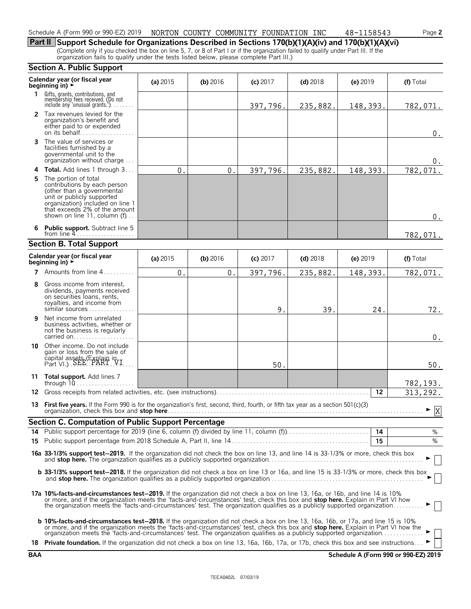# Schedule A (Form 990 or 990-EZ) 2019 NORTON COUNTY COMMUNITY FOUNDATION INC 48-1158543 Page **2**

**Part II Support Schedule for Organizations Described in Sections 170(b)(1)(A)(iv) and 170(b)(1)(A)(vi)** (Complete only if you checked the box on line 5, 7, or 8 of Part I or if the organization failed to qualify under Part III. If the organization fails to qualify under the tests listed below, please complete Part III.)

## **Section A. Public Support**

|    | Calendar year (or fiscal year<br>beginning in) $\blacktriangleright$                                                                                                                                                                                                                                                                                                                                      | (a) 2015   | (b) 2016 | $(c)$ 2017 | $(d)$ 2018 | $(e)$ 2019 | (f) Total                          |
|----|-----------------------------------------------------------------------------------------------------------------------------------------------------------------------------------------------------------------------------------------------------------------------------------------------------------------------------------------------------------------------------------------------------------|------------|----------|------------|------------|------------|------------------------------------|
|    | 1 Gifts, grants, contributions, and<br>membership fees received. (Do not<br>include any 'unusual grants.'). $\dots$                                                                                                                                                                                                                                                                                       |            |          | 397,796.   | 235,882.   | 148,393.   | 782,071.                           |
|    | 2 Tax revenues levied for the<br>organization's benefit and<br>either paid to or expended<br>on its behalf                                                                                                                                                                                                                                                                                                |            |          |            |            |            | $0$ .                              |
|    | 3 The value of services or<br>facilities furnished by a<br>governmental unit to the<br>organization without charge                                                                                                                                                                                                                                                                                        |            |          |            |            |            | 0.                                 |
|    | <b>Total.</b> Add lines 1 through 3                                                                                                                                                                                                                                                                                                                                                                       | 0.         | 0.       | 397,796.   | 235,882.   | 148,393.   | 782,071.                           |
| 5. | The portion of total<br>contributions by each person<br>(other than a governmental<br>unit or publicly supported<br>organization) included on line 1<br>that exceeds 2% of the amount<br>shown on line 11, column (f)                                                                                                                                                                                     |            |          |            |            |            | $0$ .                              |
|    | 6 Public support. Subtract line 5<br>from line $4$                                                                                                                                                                                                                                                                                                                                                        |            |          |            |            |            | 782,071.                           |
|    | <b>Section B. Total Support</b>                                                                                                                                                                                                                                                                                                                                                                           |            |          |            |            |            |                                    |
|    | Calendar year (or fiscal year<br>beginning in) $\rightarrow$                                                                                                                                                                                                                                                                                                                                              | (a) $2015$ | (b) 2016 | $(c)$ 2017 | $(d)$ 2018 | (e) 2019   | (f) Total                          |
|    | <b>7</b> Amounts from line $4$                                                                                                                                                                                                                                                                                                                                                                            | 0.         | 0.       | 397,796.   | 235,882.   | 148,393.   | 782,071.                           |
| 8  | Gross income from interest.<br>dividends, payments received<br>on securities loans, rents,<br>royalties, and income from<br>similar sources                                                                                                                                                                                                                                                               |            |          | 9.         | 39.        | 24.        | 72.                                |
| 9  | Net income from unrelated<br>business activities, whether or<br>not the business is regularly<br>carried on                                                                                                                                                                                                                                                                                               |            |          |            |            |            | 0.                                 |
|    | 10 Other income. Do not include<br>gain or loss from the sale of<br>capital assets (Explain in Part VI.)                                                                                                                                                                                                                                                                                                  |            |          | 50.        |            |            | 50.                                |
|    | 11 Total support. Add lines 7<br>through $10$                                                                                                                                                                                                                                                                                                                                                             |            |          |            |            |            | 782, 193.                          |
|    |                                                                                                                                                                                                                                                                                                                                                                                                           |            |          |            |            | 12         | 313,292.                           |
|    | 13 First five years. If the Form 990 is for the organization's first, second, third, fourth, or fifth tax year as a section 501(c)(3)                                                                                                                                                                                                                                                                     |            |          |            |            |            | $\blacktriangleright \overline{X}$ |
|    | <b>Section C. Computation of Public Support Percentage</b>                                                                                                                                                                                                                                                                                                                                                |            |          |            |            |            |                                    |
|    |                                                                                                                                                                                                                                                                                                                                                                                                           |            |          |            |            | 14         | %<br>%                             |
|    |                                                                                                                                                                                                                                                                                                                                                                                                           |            |          |            |            | 15         |                                    |
|    | 16a 33-1/3% support test-2019. If the organization did not check the box on line 13, and line 14 is 33-1/3% or more, check this box                                                                                                                                                                                                                                                                       |            |          |            |            |            |                                    |
|    | <b>b 33-1/3% support test-2018.</b> If the organization did not check a box on line 13 or 16a, and line 15 is 33-1/3% or more, check this box                                                                                                                                                                                                                                                             |            |          |            |            |            |                                    |
|    | 17a 10%-facts-and-circumstances test-2019. If the organization did not check a box on line 13, 16a, or 16b, and line 14 is 10%<br>or more, and if the organization meets the 'facts-and-circumstances' test, check this box and stop here. Explain in Part VI how<br>the organization meets the 'facts-and-circumstances' test. The organization qualifies as a publicly supported organization           |            |          |            |            |            |                                    |
|    | <b>b 10%-facts-and-circumstances test-2018.</b> If the organization did not check a box on line 13, 16a, 16b, or 17a, and line 15 is 10%<br>or more, and if the organization meets the 'facts-and-circumstances' test, check this box and stop here. Explain in Part VI how the<br>organization meets the 'facts-and-circumstances' test. The organization qualifies as a publicly supported organization |            |          |            |            |            |                                    |
|    | 18 Private foundation. If the organization did not check a box on line 13, 16a, 16b, 17a, or 17b, check this box and see instructions                                                                                                                                                                                                                                                                     |            |          |            |            |            |                                    |

**BAA Schedule A (Form 990 or 990-EZ) 2019**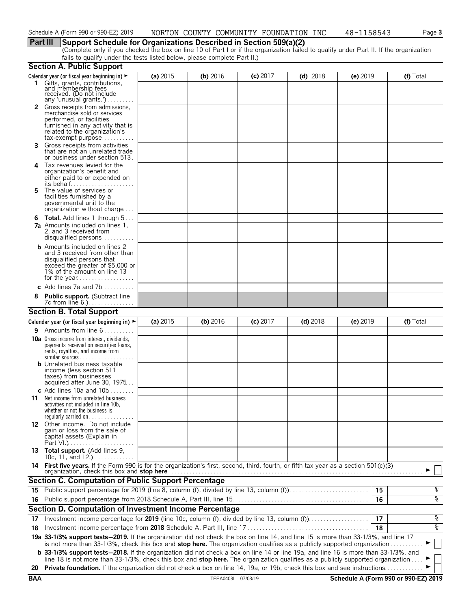# **Part III Support Schedule for Organizations Described in Section 509(a)(2)**

(Complete only if you checked the box on line 10 of Part I or if the organization failed to qualify under Part II. If the organization fails to qualify under the tests listed below, please complete Part II.)

|            | <b>Section A. Public Support</b>                                                                                                                                                                                                                                              |          |                    |            |            |          |                                      |
|------------|-------------------------------------------------------------------------------------------------------------------------------------------------------------------------------------------------------------------------------------------------------------------------------|----------|--------------------|------------|------------|----------|--------------------------------------|
|            | Calendar year (or fiscal year beginning in) $\blacktriangleright$<br>1 Gifts, grants, contributions,                                                                                                                                                                          | (a) 2015 | (b) 2016           | $(c)$ 2017 | $(d)$ 2018 | (e) 2019 | (f) Total                            |
|            | and membership fees<br>received. (Do not include<br>any 'unusual grants.')                                                                                                                                                                                                    |          |                    |            |            |          |                                      |
|            | 2 Gross receipts from admissions,<br>merchandise sold or services<br>performed, or facilities<br>furnished in any activity that is<br>related to the organization's                                                                                                           |          |                    |            |            |          |                                      |
| 3          | $tax\text{-}exempt$ purpose<br>Gross receipts from activities<br>that are not an unrelated trade<br>or business under section 513.                                                                                                                                            |          |                    |            |            |          |                                      |
| 4          | Tax revenues levied for the<br>organization's benefit and<br>either paid to or expended on<br>its behalf                                                                                                                                                                      |          |                    |            |            |          |                                      |
| 5          | The value of services or<br>facilities furnished by a<br>governmental unit to the<br>organization without charge                                                                                                                                                              |          |                    |            |            |          |                                      |
|            | <b>6 Total.</b> Add lines 1 through 5<br><b>7a</b> Amounts included on lines 1,<br>2. and 3 received from<br>disqualified persons                                                                                                                                             |          |                    |            |            |          |                                      |
|            | <b>b</b> Amounts included on lines 2<br>and 3 received from other than<br>disqualified persons that<br>exceed the greater of \$5,000 or<br>1% of the amount on line 13<br>for the year                                                                                        |          |                    |            |            |          |                                      |
|            | c Add lines $7a$ and $7b$                                                                                                                                                                                                                                                     |          |                    |            |            |          |                                      |
| 8          | <b>Public support.</b> (Subtract line<br>7c from line 6.).                                                                                                                                                                                                                    |          |                    |            |            |          |                                      |
|            | <b>Section B. Total Support</b>                                                                                                                                                                                                                                               |          |                    |            |            |          |                                      |
|            | Calendar year (or fiscal year beginning in) $\blacktriangleright$                                                                                                                                                                                                             | (a) 2015 | $(b)$ 2016         | $(c)$ 2017 | $(d)$ 2018 | (e) 2019 | (f) Total                            |
|            | 9 Amounts from line 6                                                                                                                                                                                                                                                         |          |                    |            |            |          |                                      |
|            | <b>10a</b> Gross income from interest, dividends,<br>payments received on securities loans,<br>rents, royalties, and income from<br>$similar$ sources                                                                                                                         |          |                    |            |            |          |                                      |
|            | <b>b</b> Unrelated business taxable<br>income (less section 511)<br>taxes) from businesses<br>acquired after June 30, 1975                                                                                                                                                    |          |                    |            |            |          |                                      |
| 11         | c Add lines 10a and $10b$<br>Net income from unrelated business<br>activities not included in line 10b,<br>whether or not the business is<br>regularly carried on $\dots\dots\dots$                                                                                           |          |                    |            |            |          |                                      |
|            | 12 Other income. Do not include<br>gain or loss from the sale of<br>capital assets (Explain in                                                                                                                                                                                |          |                    |            |            |          |                                      |
|            | 13 Total support. (Add lines 9,<br>10c, 11, and $12.$                                                                                                                                                                                                                         |          |                    |            |            |          |                                      |
|            | 14 First five years. If the Form 990 is for the organization's first, second, third, fourth, or fifth tax year as a section 501(c)(3)<br>organization, check this box and <b>stop here</b>                                                                                    |          |                    |            |            |          |                                      |
|            | <b>Section C. Computation of Public Support Percentage</b>                                                                                                                                                                                                                    |          |                    |            |            |          |                                      |
| 15         | Public support percentage for 2019 (line 8, column (f), divided by line 13, column (f)                                                                                                                                                                                        |          |                    |            |            | 15       | န့                                   |
| 16         |                                                                                                                                                                                                                                                                               |          |                    |            |            | 16       | ०१०                                  |
|            | Section D. Computation of Investment Income Percentage                                                                                                                                                                                                                        |          |                    |            |            |          |                                      |
| 17         | Investment income percentage for 2019 (line 10c, column (f), divided by line 13, column (f)                                                                                                                                                                                   |          |                    |            |            | 17       | %                                    |
| 18         |                                                                                                                                                                                                                                                                               |          |                    |            |            | 18       | ०७                                   |
|            | 19a 33-1/3% support tests-2019. If the organization did not check the box on line 14, and line 15 is more than 33-1/3%, and line 17<br>is not more than 33-1/3%, check this box and stop here. The organization qualifies as a publicly supported organization                |          |                    |            |            |          |                                      |
|            | <b>b</b> 33-1/3% support tests-2018. If the organization did not check a box on line 14 or line 19a, and line 16 is more than 33-1/3%, and<br>line 18 is not more than 33-1/3%, check this box and stop here. The organization qualifies as a publicly supported organization |          |                    |            |            |          |                                      |
| 20         | Private foundation. If the organization did not check a box on line 14, 19a, or 19b, check this box and see instructions.                                                                                                                                                     |          |                    |            |            |          |                                      |
| <b>BAA</b> |                                                                                                                                                                                                                                                                               |          | TEEA0403L 07/03/19 |            |            |          | Schedule A (Form 990 or 990-EZ) 2019 |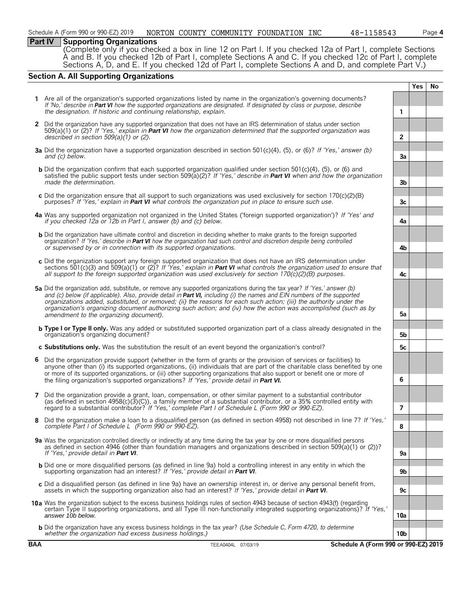### **Part IV Supporting Organizations**

(Complete only if you checked a box in line 12 on Part I. If you checked 12a of Part I, complete Sections A and B. If you checked 12b of Part I, complete Sections A and C. If you checked 12c of Part I, complete Sections A, D, and E. If you checked 12d of Part I, complete Sections A and D, and complete Part V.)

# **Section A. All Supporting Organizations**

**Yes No 1** Are all of the organization's supported organizations listed by name in the organization's governing documents? *If 'No,' describe in Part VI how the supported organizations are designated. If designated by class or purpose, describe the designation. If historic and continuing relationship, explain.* **1 2** Did the organization have any supported organization that does not have an IRS determination of status under section 509(a)(1) or (2)? *If 'Yes,' explain in Part VI how the organization determined that the supported organization was described in section 509(a)(1) or (2).* **2 3a** Did the organization have a supported organization described in section 501(c)(4), (5), or (6)? *If 'Yes,' answer (b) and (c) below.* **3a b** Did the organization confirm that each supported organization qualified under section 501(c)(4), (5), or (6) and satisfied the public support tests under section 509(a)(2)? *If 'Yes,' describe in Part VI when and how the organization made the determination.* **3b c** Did the organization ensure that all support to such organizations was used exclusively for section 170(c)(2)(B) purposes? *If 'Yes,' explain in Part VI what controls the organization put in place to ensure such use.*  $\begin{bmatrix} 1 & 3c \\ 2c & 3c \end{bmatrix}$  *3c* **4a** Was any supported organization not organized in the United States ('foreign supported organization')? *If 'Yes' and if you checked 12a or 12b in Part I, answer (b) and (c) below.* **4a b** Did the organization have ultimate control and discretion in deciding whether to make grants to the foreign supported organization? *If 'Yes,' describe in Part VI how the organization had such control and discretion despite being controlled or supervised by or in connection with its supported organizations.* **4b c** Did the organization support any foreign supported organization that does not have an IRS determination under sections 501(c)(3) and 509(a)(1) or (2)? *If 'Yes,' explain in Part VI what controls the organization used to ensure that all support to the foreign supported organization was used exclusively for section 170(c)(2)(B) purposes.* **4c 5a** Did the organization add, substitute, or remove any supported organizations during the tax year? *If 'Yes,' answer (b) and (c) below (if applicable). Also, provide detail in Part VI, including (i) the names and EIN numbers of the supported organizations added, substituted, or removed; (ii) the reasons for each such action; (iii) the authority under the organization's organizing document authorizing such action; and (iv) how the action was accomplished (such as by amendment to the organizing document).* **5a b Type I or Type II only.** Was any added or substituted supported organization part of a class already designated in the organization's organizing document? **5b c Substitutions only.** Was the substitution the result of an event beyond the organization's control? **5c 6** Did the organization provide support (whether in the form of grants or the provision of services or facilities) to anyone other than (i) its supported organizations, (ii) individuals that are part of the charitable class benefited by one or more of its supported organizations, or (iii) other supporting organizations that also support or benefit one or more of the filing organization's supported organizations? *If 'Yes,' provide detail in Part VI.* **6 7** Did the organization provide a grant, loan, compensation, or other similar payment to a substantial contributor (as defined in section 4958(c)(3)(C)), a family member of a substantial contributor, or a 35% controlled entity with regard to a substantial contributor? *If 'Yes,' complete Part I of Schedule L (Form 990 or 990-EZ).* **7 8** Did the organization make a loan to a disqualified person (as defined in section 4958) not described in line 7? *If 'Yes,' complete Part I of Schedule L (Form 990 or 990-EZ).* **8 9a** Was the organization controlled directly or indirectly at any time during the tax year by one or more disqualified persons as defined in section 4946 (other than foundation managers and organizations described in section 509(a)(1) or (2))? *If 'Yes,' provide detail in Part VI*. b Did one or more disqualified persons (as defined in line 9a) hold a controlling interest in any entity in which the<br>supporting organization had an interest? If 'Yes,' provide detail in Part VI. **c** Did a disqualified person (as defined in line 9a) have an ownership interest in, or derive any personal benefit from, assets in which the supporting organization also had an interest? *If 'Yes,' provide detail in Part VI*. **9c 10a** Was the organization subject to the excess business holdings rules of section 4943 because of section 4943(f) (regarding certain Type II supporting organizations, and all Type III non-functionally integrated supporting organizations)? *If 'Yes,' answer 10b below.* **10a b** Did the organization have any excess business holdings in the tax year? *(Use Schedule C, Form 4720, to determine whether the organization had excess business holdings.)* **10b**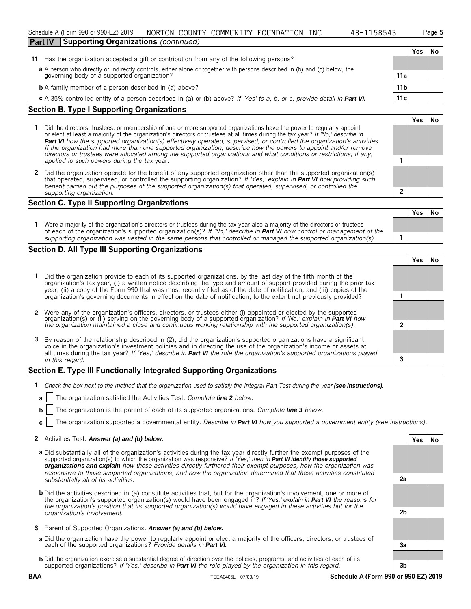# **Section B. Type I Supporting Organizations**

- **1** Did the directors, trustees, or membership of one or more supported organizations have the power to regularly appoint or elect at least a majority of the organization's directors or trustees at all times during the tax year? *If 'No,' describe in Part VI how the supported organization(s) effectively operated, supervised, or controlled the organization's activities. If the organization had more than one supported organization, describe how the powers to appoint and/or remove directors or trustees were allocated among the supported organizations and what conditions or restrictions, if any, applied to such powers during the tax* year. **1**
- **2** Did the organization operate for the benefit of any supported organization other than the supported organization(s) that operated, supervised, or controlled the supporting organization? *If 'Yes,' explain in Part VI how providing such benefit carried out the purposes of the supported organization(s) that operated, supervised, or controlled the supporting organization.* **2**

### **Section C. Type II Supporting Organizations**

|                                                                                                                                                                                                                                                               | Yes |  |
|---------------------------------------------------------------------------------------------------------------------------------------------------------------------------------------------------------------------------------------------------------------|-----|--|
| Were a majority of the organization's directors or trustees during the tax year also a majority of the directors or trustees<br>of each of the organization's supported organization(s)? If 'No,' describe in <b>Part VI</b> how control or management of the |     |  |
| supporting organization was vested in the same persons that controlled or managed the supported organization(s).                                                                                                                                              |     |  |

# **Section D. All Type III Supporting Organizations**

**Yes No 1** Did the organization provide to each of its supported organizations, by the last day of the fifth month of the organization's tax year, (i) a written notice describing the type and amount of support provided during the prior tax year, (ii) a copy of the Form 990 that was most recently filed as of the date of notification, and (iii) copies of the organization's governing documents in effect on the date of notification, to the extent not previously provided? **1 2** Were any of the organization's officers, directors, or trustees either (i) appointed or elected by the supported organization(s) or (ii) serving on the governing body of a supported organization? *If 'No,' explain in Part VI how the organization maintained a close and continuous working relationship with the supported organization(s).* **2 3** By reason of the relationship described in (2), did the organization's supported organizations have a significant voice in the organization's investment policies and in directing the use of the organization's income or assets at all times during the tax year? *If 'Yes,' describe in Part VI the role the organization's supported organizations played in this regard.* **3**

# **Section E. Type III Functionally Integrated Supporting Organizations**

- **1** *Check the box next to the method that the organization used to satisfy the Integral Part Test during the year (see instructions).*
- **a** The organization satisfied the Activities Test. *Complete line 2 below.*
- **b** The organization is the parent of each of its supported organizations. *Complete line 3 below.*
- **c** The organization supported a governmental entity. *Describe in Part VI how you supported a government entity (see instructions).*

## **2** Activities Test. *Answer (a) and (b) below.* **Yes No**

- **a** Did substantially all of the organization's activities during the tax year directly further the exempt purposes of the supported organization(s) to which the organization was responsive? *If 'Yes,' then in Part VI identify those supported organizations and explain how these activities directly furthered their exempt purposes, how the organization was responsive to those supported organizations, and how the organization determined that these activities constituted substantially all of its activities.* **2a**
- **b** Did the activities described in (a) constitute activities that, but for the organization's involvement, one or more of the organization's supported organization(s) would have been engaged in? *If 'Yes,' explain in Part VI the reasons for the organization's position that its supported organization(s) would have engaged in these activities but for the organization's involvement.* **2b**
- **3** Parent of Supported Organizations. *Answer (a) and (b) below.*
- **a** Did the organization have the power to regularly appoint or elect a majority of the officers, directors, or trustees of each of the supported organizations? *Provide details in Part VI.* **3a**
- **b** Did the organization exercise a substantial degree of direction over the policies, programs, and activities of each of its supported organizations? *If 'Yes,' describe in Part VI the role played by the organization in this regard.* **3b**

**Yes No**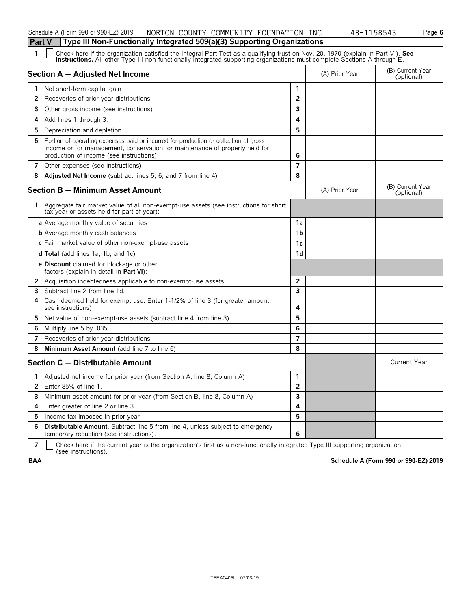## Schedule A (Form 990 or 990-EZ) 2019 NORTON COUNTY COMMUNITY FOUNDATION INC 48-1158543 Page 6 **Part V Type III Non-Functionally Integrated 509(a)(3) Supporting Organizations**

| 1            | Check here if the organization satisfied the Integral Part Test as a qualifying trust on Nov. 20, 1970 (explain in Part VI). See<br><b>instructions.</b> All other Type III non-functionally integrated supporting organizations must complete Sections A through E. |                |                |                                |  |  |  |
|--------------|----------------------------------------------------------------------------------------------------------------------------------------------------------------------------------------------------------------------------------------------------------------------|----------------|----------------|--------------------------------|--|--|--|
|              | Section A - Adjusted Net Income                                                                                                                                                                                                                                      |                | (A) Prior Year | (B) Current Year<br>(optional) |  |  |  |
| $\mathbf{1}$ | Net short-term capital gain                                                                                                                                                                                                                                          | 1              |                |                                |  |  |  |
| $\mathbf{2}$ | Recoveries of prior-year distributions                                                                                                                                                                                                                               | $\overline{2}$ |                |                                |  |  |  |
| 3            | Other gross income (see instructions)                                                                                                                                                                                                                                | 3              |                |                                |  |  |  |
| 4            | Add lines 1 through 3.                                                                                                                                                                                                                                               | 4              |                |                                |  |  |  |
| 5.           | Depreciation and depletion                                                                                                                                                                                                                                           | 5              |                |                                |  |  |  |
| 6            | Portion of operating expenses paid or incurred for production or collection of gross<br>income or for management, conservation, or maintenance of property held for<br>production of income (see instructions)                                                       | 6              |                |                                |  |  |  |
| 7            | Other expenses (see instructions)                                                                                                                                                                                                                                    | $\overline{7}$ |                |                                |  |  |  |
| 8            | <b>Adjusted Net Income</b> (subtract lines 5, 6, and 7 from line 4)                                                                                                                                                                                                  | 8              |                |                                |  |  |  |
|              | <b>Section B - Minimum Asset Amount</b>                                                                                                                                                                                                                              |                | (A) Prior Year | (B) Current Year<br>(optional) |  |  |  |
|              | 1 Aggregate fair market value of all non-exempt-use assets (see instructions for short<br>tax year or assets held for part of year):                                                                                                                                 |                |                |                                |  |  |  |
|              | a Average monthly value of securities                                                                                                                                                                                                                                | 1a             |                |                                |  |  |  |
|              | <b>b</b> Average monthly cash balances                                                                                                                                                                                                                               | 1 <sub>b</sub> |                |                                |  |  |  |
|              | c Fair market value of other non-exempt-use assets                                                                                                                                                                                                                   | 1c             |                |                                |  |  |  |
|              | <b>d Total</b> (add lines 1a, 1b, and 1c)                                                                                                                                                                                                                            | 1 <sub>d</sub> |                |                                |  |  |  |
|              | <b>e Discount</b> claimed for blockage or other<br>factors (explain in detail in Part VI):                                                                                                                                                                           |                |                |                                |  |  |  |
|              | <b>2</b> Acquisition indebtedness applicable to non-exempt-use assets                                                                                                                                                                                                | $\overline{2}$ |                |                                |  |  |  |
| 3            | Subtract line 2 from line 1d.                                                                                                                                                                                                                                        | 3              |                |                                |  |  |  |
| 4            | Cash deemed held for exempt use. Enter 1-1/2% of line 3 (for greater amount,<br>see instructions).                                                                                                                                                                   | 4              |                |                                |  |  |  |
| 5.           | Net value of non-exempt-use assets (subtract line 4 from line 3)                                                                                                                                                                                                     | 5              |                |                                |  |  |  |
| 6            | Multiply line 5 by .035.                                                                                                                                                                                                                                             | 6              |                |                                |  |  |  |
| 7            | Recoveries of prior-year distributions                                                                                                                                                                                                                               | 7              |                |                                |  |  |  |
| 8            | Minimum Asset Amount (add line 7 to line 6)                                                                                                                                                                                                                          | 8              |                |                                |  |  |  |
|              | Section C - Distributable Amount                                                                                                                                                                                                                                     |                |                | <b>Current Year</b>            |  |  |  |
| 1.           | Adjusted net income for prior year (from Section A, line 8, Column A)                                                                                                                                                                                                | $\mathbf{1}$   |                |                                |  |  |  |
| $\mathbf{2}$ | Enter 85% of line 1.                                                                                                                                                                                                                                                 | $\overline{2}$ |                |                                |  |  |  |
| 3            | Minimum asset amount for prior year (from Section B, line 8, Column A)                                                                                                                                                                                               | $\overline{3}$ |                |                                |  |  |  |
| 4            | Enter greater of line 2 or line 3.                                                                                                                                                                                                                                   | 4              |                |                                |  |  |  |
| 5.           | Income tax imposed in prior year                                                                                                                                                                                                                                     | 5              |                |                                |  |  |  |
| 6            | <b>Distributable Amount.</b> Subtract line 5 from line 4, unless subject to emergency<br>temporary reduction (see instructions).                                                                                                                                     | 6              |                |                                |  |  |  |

**7**  $\mid$  Check here if the current year is the organization's first as a non-functionally integrated Type III supporting organization (see instructions).

**BAA Schedule A (Form 990 or 990-EZ) 2019**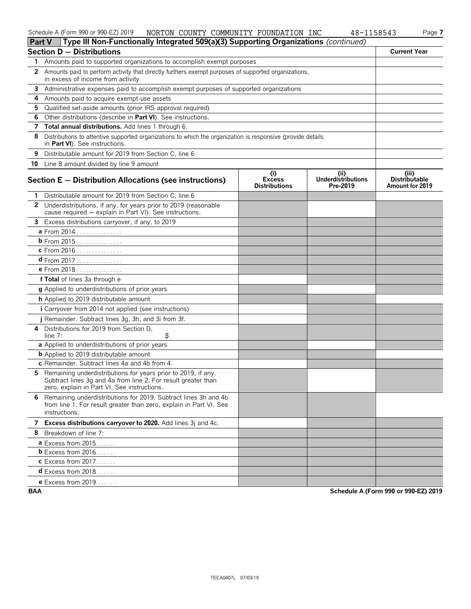# Schedule A (Form 990 or 990-EZ) 2019 NORTON COUNTY COMMUNITY FOUNDATION INC 48-1158543 Page **7**

| 354<br>M. | 11 |
|-----------|----|
|-----------|----|

| <b>Part V</b> | Type III Non-Functionally Integrated 509(a)(3) Supporting Organizations (continued)                                                                                           |                                              |                                               |                                                  |
|---------------|-------------------------------------------------------------------------------------------------------------------------------------------------------------------------------|----------------------------------------------|-----------------------------------------------|--------------------------------------------------|
|               | Section D - Distributions                                                                                                                                                     |                                              |                                               | <b>Current Year</b>                              |
| 1             | Amounts paid to supported organizations to accomplish exempt purposes                                                                                                         |                                              |                                               |                                                  |
| $\mathbf{2}$  | Amounts paid to perform activity that directly furthers exempt purposes of supported organizations,<br>in excess of income from activity                                      |                                              |                                               |                                                  |
| 3             | Administrative expenses paid to accomplish exempt purposes of supported organizations                                                                                         |                                              |                                               |                                                  |
| 4             | Amounts paid to acquire exempt-use assets                                                                                                                                     |                                              |                                               |                                                  |
| 5.            | Qualified set-aside amounts (prior IRS approval required)                                                                                                                     |                                              |                                               |                                                  |
| 6             | Other distributions (describe in Part VI). See instructions.                                                                                                                  |                                              |                                               |                                                  |
|               | 7 Total annual distributions. Add lines 1 through 6.                                                                                                                          |                                              |                                               |                                                  |
| 8             | Distributions to attentive supported organizations to which the organization is responsive (provide details<br>in Part VI). See instructions.                                 |                                              |                                               |                                                  |
| 9             | Distributable amount for 2019 from Section C, line 6                                                                                                                          |                                              |                                               |                                                  |
|               | 10 Line 8 amount divided by line 9 amount                                                                                                                                     |                                              |                                               |                                                  |
|               | Section E - Distribution Allocations (see instructions)                                                                                                                       | (i)<br><b>Excess</b><br><b>Distributions</b> | (ii)<br><b>Underdistributions</b><br>Pre-2019 | (iii)<br><b>Distributable</b><br>Amount for 2019 |
| 1.            | Distributable amount for 2019 from Section C, line 6                                                                                                                          |                                              |                                               |                                                  |
|               | 2 Underdistributions, if any, for years prior to 2019 (reasonable<br>cause required - explain in Part VI). See instructions.                                                  |                                              |                                               |                                                  |
| 3             | Excess distributions carryover, if any, to 2019                                                                                                                               |                                              |                                               |                                                  |
|               | a From 2014                                                                                                                                                                   |                                              |                                               |                                                  |
|               | <b>b</b> From 2015                                                                                                                                                            |                                              |                                               |                                                  |
|               | c From 2016                                                                                                                                                                   |                                              |                                               |                                                  |
|               | <b>d</b> From 2017.                                                                                                                                                           |                                              |                                               |                                                  |
|               | e From 2018                                                                                                                                                                   |                                              |                                               |                                                  |
|               | f Total of lines 3a through e                                                                                                                                                 |                                              |                                               |                                                  |
|               | g Applied to underdistributions of prior years                                                                                                                                |                                              |                                               |                                                  |
|               | h Applied to 2019 distributable amount                                                                                                                                        |                                              |                                               |                                                  |
|               | i Carryover from 2014 not applied (see instructions)                                                                                                                          |                                              |                                               |                                                  |
|               | j Remainder. Subtract lines 3g, 3h, and 3i from 3f.                                                                                                                           |                                              |                                               |                                                  |
| 4             | Distributions for 2019 from Section D.<br>\$<br>line $7:$                                                                                                                     |                                              |                                               |                                                  |
|               | a Applied to underdistributions of prior years                                                                                                                                |                                              |                                               |                                                  |
|               | <b>b</b> Applied to 2019 distributable amount                                                                                                                                 |                                              |                                               |                                                  |
|               | c Remainder. Subtract lines 4a and 4b from 4.                                                                                                                                 |                                              |                                               |                                                  |
| 5.            | Remaining underdistributions for years prior to 2019, if any.<br>Subtract lines 3g and 4a from line 2. For result greater than<br>zero, explain in Part VI. See instructions. |                                              |                                               |                                                  |
|               | 6 Remaining underdistributions for 2019. Subtract lines 3h and 4b<br>from line 1. For result greater than zero, explain in Part VI. See<br>instructions.                      |                                              |                                               |                                                  |
|               | 7 Excess distributions carryover to 2020. Add lines 3j and 4c.                                                                                                                |                                              |                                               |                                                  |
|               | 8 Breakdown of line 7:                                                                                                                                                        |                                              |                                               |                                                  |
|               | <b>a</b> Excess from 2015                                                                                                                                                     |                                              |                                               |                                                  |
|               | <b>b</b> Excess from 2016                                                                                                                                                     |                                              |                                               |                                                  |
|               | <b>c</b> Excess from 2017.                                                                                                                                                    |                                              |                                               |                                                  |
|               | $d$ Excess from 2018                                                                                                                                                          |                                              |                                               |                                                  |
|               | <b>e</b> Excess from 2019.                                                                                                                                                    |                                              |                                               |                                                  |

**BAA Schedule A (Form 990 or 990-EZ) 2019**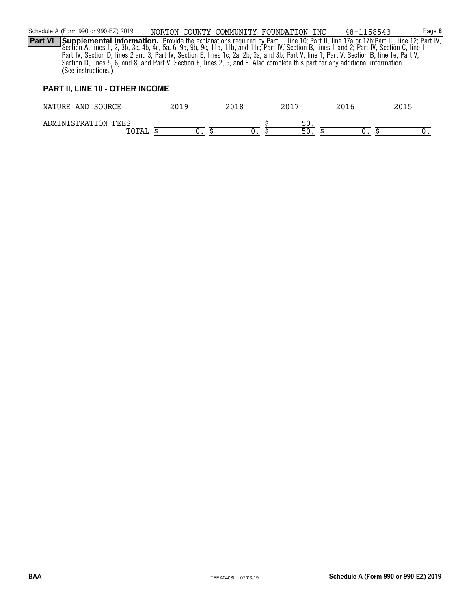**Part VI** Supplemental Information. Provide the explanations required by Part II, line 10; Part II, line 17a or 17b; Part III, line 12; Part IV, Section A, lines 1, 2, 3b, 3c, 4b, 4c, 5a, 6, 9a, 9b, 9c, 11a, 11b, and 11c; Part IV, Section B, lines 1 and 2; Part IV, Section C, line 1; Part IV, Section D, lines 2 and 3; Part IV, Section E, lines 1c, 2a, 2b, 3a, and 3b; Part V, line 1; Part V, Section B, line 1e; Part V, Section D, lines 5, 6, and 8; and Part V, Section E, lines 2, 5, and 6. Also complete this part for any additional information. (See instructions.)

# **PART II, LINE 10 - OTHER INCOME**

| AND<br>SOURCE<br>NATURE         | 2011 | つの1つ           | ∩∩1<br>$\sim$ $\sim$ $\sim$ |
|---------------------------------|------|----------------|-----------------------------|
| FEES<br>ADMINISTRATION<br>TOTAL |      | 50<br>JU<br>50 |                             |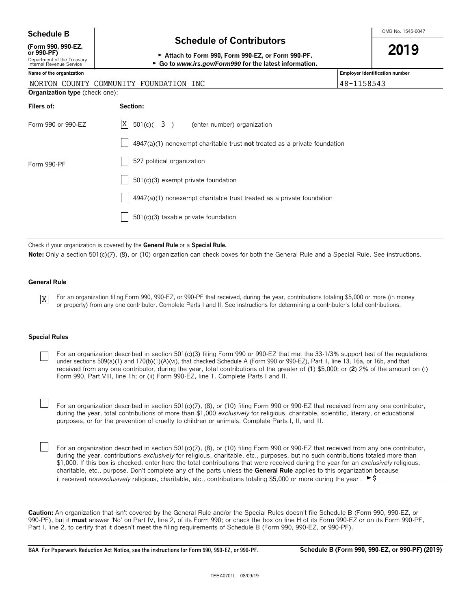| <b>Schedule B</b>                                                                          |                                                                                                                                              | OMB No. 1545-0047              |  |  |
|--------------------------------------------------------------------------------------------|----------------------------------------------------------------------------------------------------------------------------------------------|--------------------------------|--|--|
| (Form 990, 990-EZ,<br>or 990-PF)<br>Department of the Treasury<br>Internal Revenue Service | <b>Schedule of Contributors</b><br>Attach to Form 990, Form 990-EZ, or Form 990-PF.<br>Go to www.irs.gov/Form990 for the latest information. | 2019                           |  |  |
| Name of the organization                                                                   |                                                                                                                                              | Employer identification number |  |  |
|                                                                                            | 48-1158543<br>NORTON COUNTY COMMUNITY FOUNDATION INC                                                                                         |                                |  |  |
| <b>Organization type</b> (check one):                                                      |                                                                                                                                              |                                |  |  |
| Filers of:                                                                                 | Section:                                                                                                                                     |                                |  |  |
| Form 990 or 990-F7                                                                         | $ X $ 501(c)( 3) (enter number) organization                                                                                                 |                                |  |  |
|                                                                                            | $4947(a)(1)$ nonexempt charitable trust not treated as a private foundation                                                                  |                                |  |  |
| 527 political organization<br>Form 990-PF                                                  |                                                                                                                                              |                                |  |  |
|                                                                                            |                                                                                                                                              |                                |  |  |
|                                                                                            | 4947(a)(1) nonexempt charitable trust treated as a private foundation                                                                        |                                |  |  |
|                                                                                            | 501(c)(3) taxable private foundation                                                                                                         |                                |  |  |
|                                                                                            |                                                                                                                                              |                                |  |  |

Check if your organization is covered by the **General Rule** or a **Special Rule.**

Note: Only a section 501(c)(7), (8), or (10) organization can check boxes for both the General Rule and a Special Rule. See instructions.

### **General Rule**

X

For an organization filing Form 990, 990-EZ, or 990-PF that received, during the year, contributions totaling \$5,000 or more (in money or property) from any one contributor. Complete Parts I and II. See instructions for determining a contributor's total contributions.

### **Special Rules**

For an organization described in section 501(c)(3) filing Form 990 or 990-EZ that met the 33-1/3% support test of the regulations under sections 509(a)(1) and 170(b)(1)(A)(vi), that checked Schedule A (Form 990 or 990-EZ), Part II, line 13, 16a, or 16b, and that received from any one contributor, during the year, total contributions of the greater of (**1**) \$5,000; or (**2**) 2% of the amount on (i) Form 990, Part VIII, line 1h; or (ii) Form 990-EZ, line 1. Complete Parts I and II.

For an organization described in section 501(c)(7), (8), or (10) filing Form 990 or 990-EZ that received from any one contributor, during the year, total contributions of more than \$1,000 *exclusively* for religious, charitable, scientific, literary, or educational purposes, or for the prevention of cruelty to children or animals. Complete Parts I, II, and III.

For an organization described in section 501(c)(7), (8), or (10) filing Form 990 or 990-EZ that received from any one contributor, during the year, contributions *exclusively* for religious, charitable, etc., purposes, but no such contributions totaled more than \$1,000. If this box is checked, enter here the total contributions that were received during the year for an *exclusively* religious, charitable, etc., purpose. Don't complete any of the parts unless the **General Rule** applies to this organization because it received *nonexclusively* religious, charitable, etc., contributions totaling \$5,000 or more during the year . ►\$

**Caution:** An organization that isn't covered by the General Rule and/or the Special Rules doesn't file Schedule B (Form 990, 990-EZ, or 990-PF), but it **must** answer 'No' on Part IV, line 2, of its Form 990; or check the box on line H of its Form 990-EZ or on its Form 990-PF, Part I, line 2, to certify that it doesn't meet the filing requirements of Schedule B (Form 990, 990-EZ, or 990-PF).

**BAA For Paperwork Reduction Act Notice, see the instructions for Form 990, 990-EZ, or 990-PF. Schedule B (Form 990, 990-EZ, or 990-PF) (2019)**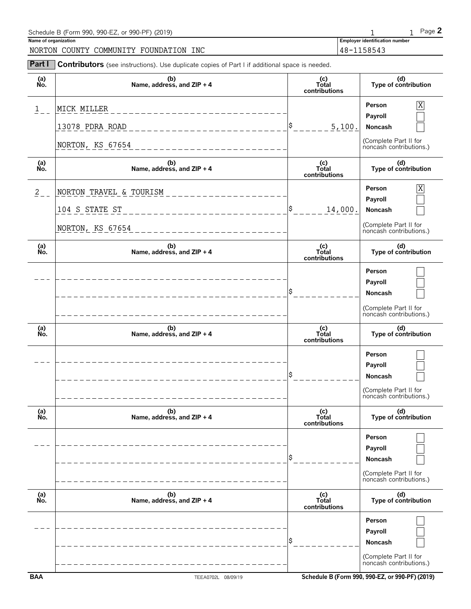| Schedule B (Form 990, 990-EZ, or 990-PF) (2019)                                                              |                                       | Page 2 |
|--------------------------------------------------------------------------------------------------------------|---------------------------------------|--------|
| Name of organization                                                                                         | <b>Employer identification number</b> |        |
| NORTON COUNTY COMMUNITY FOUNDATION INC                                                                       | 48-1158543                            |        |
| <b>Part I</b> Contributors (see instructions). Use duplicate copies of Part I if additional space is needed. |                                       |        |

| (a)<br>No.    | (b)<br>Name, address, and ZIP + 4                             | (c)<br>Total<br>contributions   | (d)<br>Type of contribution                                                             |
|---------------|---------------------------------------------------------------|---------------------------------|-----------------------------------------------------------------------------------------|
| 1             | MICK MILLER<br>13078 PDRA ROAD                                | I\$<br>5,100.                   | Person<br>Payroll<br><b>Noncash</b><br>(Complete Part II for                            |
|               | NORTON, KS 67654                                              |                                 | noncash contributions.)                                                                 |
| (a)<br>No.    | (b)<br>Name, address, and ZIP + 4                             | (c)<br>Total<br>contributions   | (d)<br>Type of contribution                                                             |
| $\frac{2}{2}$ | NORTON TRAVEL & TOURISM<br>104 S STATE ST<br>NORTON, KS 67654 | \$<br>14,000.                   | Person<br>Χ<br>Payroll<br>Noncash<br>(Complete Part II for                              |
| (a)<br>No.    | (b)<br>Name, address, and ZIP + 4                             | (c)<br>Total<br>contributions   | noncash contributions.)<br>(d)<br>Type of contribution                                  |
|               |                                                               |                                 | Person<br>Payroll<br>Noncash<br>(Complete Part II for<br>noncash contributions.)        |
| (a)<br>No.    | (b)<br>Name, address, and ZIP + 4                             | (c)<br>Total<br>contributions   | (d)<br>Type of contribution                                                             |
|               |                                                               | \$                              | Person<br>Payroll<br><b>Noncash</b><br>(Complete Part II for<br>noncash contributions.) |
| (a)<br>No.    | (b)<br>Name, address, and ZIP + 4                             | (c)<br>Total<br>contributions   | (d)<br>Type of contribution                                                             |
|               |                                                               | \$                              | Person<br>Payroll<br>Noncash<br>(Complete Part II for<br>noncash contributions.)        |
| (a)<br>No.    | (b)<br>Name, address, and ZIP + 4                             | $(c)$<br>Total<br>contributions | (d)<br>Type of contribution                                                             |
|               |                                                               | \$                              | Person<br>Payroll<br>Noncash<br>(Complete Part II for<br>noncash contributions.)        |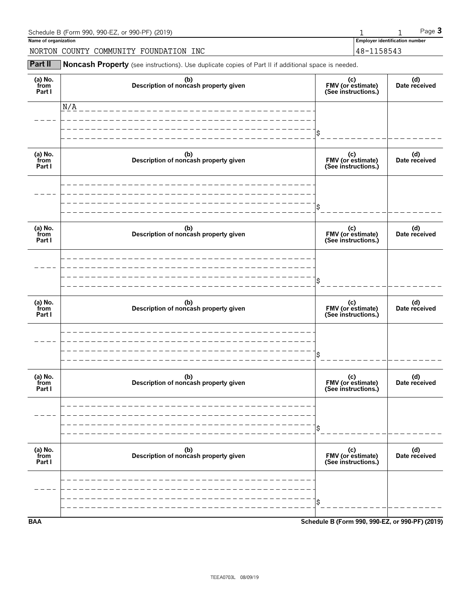| Schedule B (Form 990, 990-EZ, or 990-PF) (2019) |                                | Page 3 |
|-------------------------------------------------|--------------------------------|--------|
| Name of organization                            | Employer identification number |        |
| NORTON COUNTY COMMUNITY FOUNDATION INC          | 48-1158543                     |        |

**Part II** Noncash Property (see instructions). Use duplicate copies of Part II if additional space is needed.

| (a) No.<br>from<br>Part I   | (b)<br>Description of noncash property given | (c)<br>FMV (or estimate)<br>(See instructions.) | (d)<br>Date received |
|-----------------------------|----------------------------------------------|-------------------------------------------------|----------------------|
|                             | N/A                                          |                                                 |                      |
|                             |                                              | \$                                              |                      |
| (a) No.<br>from<br>Part I   | (b)<br>Description of noncash property given | (c)<br>FMV (or estimate)<br>(See instructions.) | (d)<br>Date received |
|                             |                                              |                                                 |                      |
|                             |                                              | \$                                              |                      |
| (a) No.<br>from<br>Part I   | (b)<br>Description of noncash property given | (c)<br>FMV (or estimate)<br>(See instructions.) | (d)<br>Date received |
|                             |                                              |                                                 |                      |
|                             |                                              | \$                                              |                      |
| (a) No.<br>from<br>Part I   | (b)<br>Description of noncash property given | (c)<br>FMV (or estimate)<br>(See instructions.) | (d)<br>Date received |
|                             |                                              |                                                 |                      |
|                             |                                              | \$                                              |                      |
| (a) No.<br>$from$<br>Part I | (b)<br>Description of noncash property given | (c)<br>FMV (or estimate)<br>(See instructions.) | (d)<br>Date received |
|                             |                                              |                                                 |                      |
|                             |                                              | \$                                              |                      |
| (a) No.<br>from<br>Part I   | (b)<br>Description of noncash property given | (c)<br>FMV (or estimate)<br>(See instructions.) | (d)<br>Date received |
|                             |                                              |                                                 |                      |
|                             |                                              | \$                                              |                      |
| <b>BAA</b>                  |                                              | Schedule B (Form 990, 990-EZ, or 990-PF) (2019) |                      |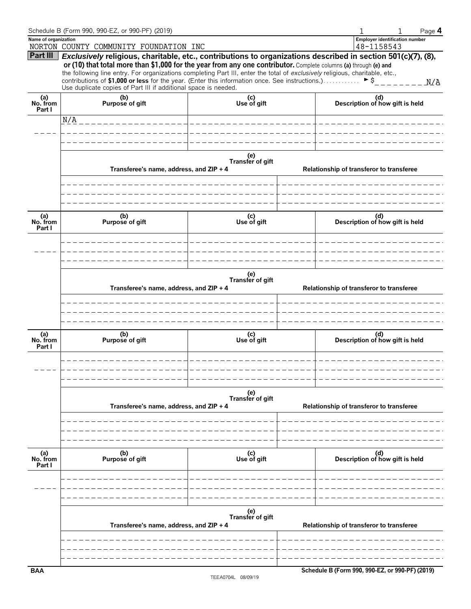|                           | Schedule B (Form 990, 990-EZ, or 990-PF) (2019)                                                                                                                                                                                                                                                                                                                                                                                                                                                                                                                     |                         |                                          | Page 4<br>1                                         |  |  |
|---------------------------|---------------------------------------------------------------------------------------------------------------------------------------------------------------------------------------------------------------------------------------------------------------------------------------------------------------------------------------------------------------------------------------------------------------------------------------------------------------------------------------------------------------------------------------------------------------------|-------------------------|------------------------------------------|-----------------------------------------------------|--|--|
| Name of organization      | NORTON COUNTY COMMUNITY FOUNDATION INC                                                                                                                                                                                                                                                                                                                                                                                                                                                                                                                              |                         |                                          | <b>Employer identification number</b><br>48-1158543 |  |  |
|                           | Part III Exclusively religious, charitable, etc., contributions to organizations described in section 501(c)(7), (8),<br>or (10) that total more than \$1,000 for the year from any one contributor. Complete columns (a) through (e) and<br>the following line entry. For organizations completing Part III, enter the total of exclusively religious, charitable, etc.,<br>contributions of \$1,000 or less for the year. (Enter this information once. See instructions.) $\triangleright$ \$<br>Use duplicate copies of Part III if additional space is needed. |                         |                                          |                                                     |  |  |
| (a)<br>No. from<br>Part I | (b)<br>Purpose of gift                                                                                                                                                                                                                                                                                                                                                                                                                                                                                                                                              | (c)<br>Use of gift      |                                          | (d)<br>Description of how gift is held              |  |  |
|                           |                                                                                                                                                                                                                                                                                                                                                                                                                                                                                                                                                                     |                         |                                          |                                                     |  |  |
|                           |                                                                                                                                                                                                                                                                                                                                                                                                                                                                                                                                                                     |                         |                                          |                                                     |  |  |
|                           | Transferee's name, address, and ZIP + 4                                                                                                                                                                                                                                                                                                                                                                                                                                                                                                                             |                         | Relationship of transferor to transferee |                                                     |  |  |
| (a)<br>No. from           | (b)<br>Purpose of gift                                                                                                                                                                                                                                                                                                                                                                                                                                                                                                                                              | (c)<br>Use of gift      |                                          | (d)<br>Description of how gift is held              |  |  |
| Part I                    |                                                                                                                                                                                                                                                                                                                                                                                                                                                                                                                                                                     |                         |                                          |                                                     |  |  |
|                           | Transferee's name, address, and ZIP + 4                                                                                                                                                                                                                                                                                                                                                                                                                                                                                                                             | (e)<br>Transfer of gift | Relationship of transferor to transferee |                                                     |  |  |
|                           |                                                                                                                                                                                                                                                                                                                                                                                                                                                                                                                                                                     |                         |                                          |                                                     |  |  |
| (a)<br>No. from<br>Part I | (b)<br>Purpose of gift                                                                                                                                                                                                                                                                                                                                                                                                                                                                                                                                              | (c)<br>Use of gift      |                                          | (d)<br>Description of how gift is held              |  |  |
|                           |                                                                                                                                                                                                                                                                                                                                                                                                                                                                                                                                                                     |                         |                                          |                                                     |  |  |
|                           | Transferee's name, address, and ZIP + 4                                                                                                                                                                                                                                                                                                                                                                                                                                                                                                                             | (e)<br>Transfer of gift |                                          | Relationship of transferor to transferee            |  |  |
|                           |                                                                                                                                                                                                                                                                                                                                                                                                                                                                                                                                                                     |                         |                                          |                                                     |  |  |
| (a)<br>No. from<br>Part I | (b)<br>Purpose of gift                                                                                                                                                                                                                                                                                                                                                                                                                                                                                                                                              | (c)<br>Use of gift      |                                          | (d)<br>Description of how gift is held              |  |  |
|                           |                                                                                                                                                                                                                                                                                                                                                                                                                                                                                                                                                                     |                         |                                          |                                                     |  |  |
|                           | Transferee's name, address, and ZIP + 4                                                                                                                                                                                                                                                                                                                                                                                                                                                                                                                             | (e)<br>Transfer of gift | Relationship of transferor to transferee |                                                     |  |  |
|                           |                                                                                                                                                                                                                                                                                                                                                                                                                                                                                                                                                                     |                         |                                          |                                                     |  |  |
| <b>BAA</b>                |                                                                                                                                                                                                                                                                                                                                                                                                                                                                                                                                                                     |                         |                                          | Schedule B (Form 990, 990-EZ, or 990-PF) (2019)     |  |  |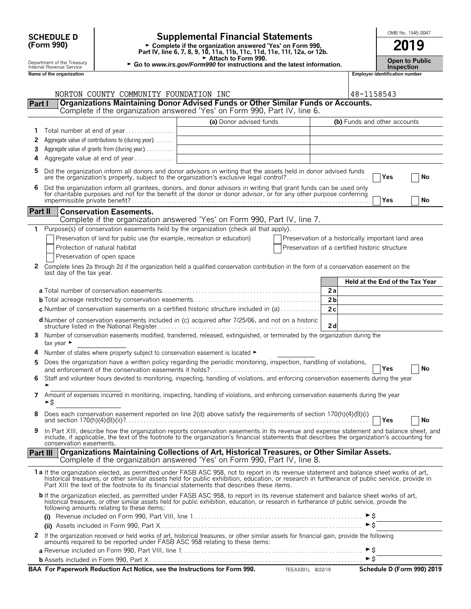|              | <b>Supplemental Financial Statements</b><br><b>SCHEDULE D</b>                                                                                      |                                                                                                   |                                                                                                                                                                                                                                                                                                                                                                                        |  |                                                |                     | OMB No. 1545-0047                                  |    |
|--------------|----------------------------------------------------------------------------------------------------------------------------------------------------|---------------------------------------------------------------------------------------------------|----------------------------------------------------------------------------------------------------------------------------------------------------------------------------------------------------------------------------------------------------------------------------------------------------------------------------------------------------------------------------------------|--|------------------------------------------------|---------------------|----------------------------------------------------|----|
|              | (Form 990)<br>Complete if the organization answered 'Yes' on Form 990,<br>Part IV, line 6, 7, 8, 9, 10, 11a, 11b, 11c, 11d, 11e, 11f, 12a, or 12b. |                                                                                                   |                                                                                                                                                                                                                                                                                                                                                                                        |  |                                                |                     | 2019                                               |    |
|              | Department of the Treasury<br>Internal Revenue Service                                                                                             |                                                                                                   | Attach to Form 990.<br>► Go to www.irs.gov/Form990 for instructions and the latest information.                                                                                                                                                                                                                                                                                        |  |                                                |                     | <b>Open to Public</b><br><b>Inspection</b>         |    |
|              | Name of the organization                                                                                                                           |                                                                                                   |                                                                                                                                                                                                                                                                                                                                                                                        |  |                                                |                     | <b>Employer identification number</b>              |    |
|              |                                                                                                                                                    |                                                                                                   |                                                                                                                                                                                                                                                                                                                                                                                        |  |                                                |                     |                                                    |    |
|              |                                                                                                                                                    | NORTON COUNTY COMMUNITY FOUNDATION INC                                                            |                                                                                                                                                                                                                                                                                                                                                                                        |  |                                                | 48-1158543          |                                                    |    |
| Part I       |                                                                                                                                                    |                                                                                                   | Organizations Maintaining Donor Advised Funds or Other Similar Funds or Accounts.<br>Complete if the organization answered 'Yes' on Form 990, Part IV, line 6.                                                                                                                                                                                                                         |  |                                                |                     |                                                    |    |
|              |                                                                                                                                                    |                                                                                                   | (a) Donor advised funds                                                                                                                                                                                                                                                                                                                                                                |  |                                                |                     | (b) Funds and other accounts                       |    |
| 1            |                                                                                                                                                    | Total number at end of year                                                                       |                                                                                                                                                                                                                                                                                                                                                                                        |  |                                                |                     |                                                    |    |
| 2            |                                                                                                                                                    | Aggregate value of contributions to (during year)                                                 |                                                                                                                                                                                                                                                                                                                                                                                        |  |                                                |                     |                                                    |    |
| 3<br>4       |                                                                                                                                                    | Aggregate value of grants from (during year)<br>Aggregate value at end of year                    |                                                                                                                                                                                                                                                                                                                                                                                        |  |                                                |                     |                                                    |    |
| 5            |                                                                                                                                                    |                                                                                                   | Did the organization inform all donors and donor advisors in writing that the assets held in donor advised funds                                                                                                                                                                                                                                                                       |  |                                                |                     |                                                    |    |
|              |                                                                                                                                                    |                                                                                                   | are the organization's property, subject to the organization's exclusive legal control?                                                                                                                                                                                                                                                                                                |  |                                                |                     | Yes                                                | No |
| 6            |                                                                                                                                                    |                                                                                                   | Did the organization inform all grantees, donors, and donor advisors in writing that grant funds can be used only<br>for charitable purposes and not for the benefit of the donor or donor advisor, or for any other purpose conferring                                                                                                                                                |  |                                                |                     | Yes                                                | No |
| Part II      |                                                                                                                                                    | <b>Conservation Easements.</b>                                                                    | Complete if the organization answered 'Yes' on Form 990, Part IV, line 7.                                                                                                                                                                                                                                                                                                              |  |                                                |                     |                                                    |    |
| 1            |                                                                                                                                                    |                                                                                                   | Purpose(s) of conservation easements held by the organization (check all that apply).                                                                                                                                                                                                                                                                                                  |  |                                                |                     |                                                    |    |
|              |                                                                                                                                                    | Preservation of land for public use (for example, recreation or education)                        |                                                                                                                                                                                                                                                                                                                                                                                        |  |                                                |                     | Preservation of a historically important land area |    |
|              |                                                                                                                                                    | Protection of natural habitat                                                                     |                                                                                                                                                                                                                                                                                                                                                                                        |  | Preservation of a certified historic structure |                     |                                                    |    |
|              |                                                                                                                                                    | Preservation of open space                                                                        |                                                                                                                                                                                                                                                                                                                                                                                        |  |                                                |                     |                                                    |    |
| 2            |                                                                                                                                                    |                                                                                                   | Complete lines 2a through 2d if the organization held a qualified conservation contribution in the form of a conservation easement on the                                                                                                                                                                                                                                              |  |                                                |                     |                                                    |    |
|              | last day of the tax year.                                                                                                                          |                                                                                                   |                                                                                                                                                                                                                                                                                                                                                                                        |  |                                                |                     | Held at the End of the Tax Year                    |    |
|              |                                                                                                                                                    |                                                                                                   |                                                                                                                                                                                                                                                                                                                                                                                        |  | 2a                                             |                     |                                                    |    |
|              |                                                                                                                                                    |                                                                                                   |                                                                                                                                                                                                                                                                                                                                                                                        |  | 2 <sub>b</sub>                                 |                     |                                                    |    |
|              |                                                                                                                                                    |                                                                                                   | <b>c</b> Number of conservation easements on a certified historic structure included in (a) $\dots \dots \dots$                                                                                                                                                                                                                                                                        |  | 2c                                             |                     |                                                    |    |
|              |                                                                                                                                                    |                                                                                                   | d Number of conservation easements included in (c) acquired after 7/25/06, and not on a historic                                                                                                                                                                                                                                                                                       |  | 2d                                             |                     |                                                    |    |
|              | tax year ►                                                                                                                                         |                                                                                                   | 3 Number of conservation easements modified, transferred, released, extinguished, or terminated by the organization during the                                                                                                                                                                                                                                                         |  |                                                |                     |                                                    |    |
|              |                                                                                                                                                    | Number of states where property subject to conservation easement is located $\blacktriangleright$ |                                                                                                                                                                                                                                                                                                                                                                                        |  |                                                |                     |                                                    |    |
|              |                                                                                                                                                    |                                                                                                   | Does the organization have a written policy regarding the periodic monitoring, inspection, handling of violations,                                                                                                                                                                                                                                                                     |  |                                                |                     | Yes                                                | No |
|              |                                                                                                                                                    |                                                                                                   | 6 Staff and volunteer hours devoted to monitoring, inspecting, handling of violations, and enforcing conservation easements during the year                                                                                                                                                                                                                                            |  |                                                |                     |                                                    |    |
| 7            | ►\$                                                                                                                                                |                                                                                                   | Amount of expenses incurred in monitoring, inspecting, handling of violations, and enforcing conservation easements during the year                                                                                                                                                                                                                                                    |  |                                                |                     |                                                    |    |
| 8            |                                                                                                                                                    |                                                                                                   | Does each conservation easement reported on line 2(d) above satisfy the requirements of section 170(h)(4)(B)(i)                                                                                                                                                                                                                                                                        |  |                                                |                     | Yes                                                | No |
| 9            | conservation easements.                                                                                                                            |                                                                                                   | In Part XIII, describe how the organization reports conservation easements in its revenue and expense statement and balance sheet, and<br>include, if applicable, the text of the footnote to the organization's financial statements that describes the organization's accounting for                                                                                                 |  |                                                |                     |                                                    |    |
|              |                                                                                                                                                    |                                                                                                   | Part III   Organizations Maintaining Collections of Art, Historical Treasures, or Other Similar Assets.                                                                                                                                                                                                                                                                                |  |                                                |                     |                                                    |    |
|              |                                                                                                                                                    |                                                                                                   | Complete if the organization answered 'Yes' on Form 990, Part IV, line 8.                                                                                                                                                                                                                                                                                                              |  |                                                |                     |                                                    |    |
|              |                                                                                                                                                    |                                                                                                   | 1a If the organization elected, as permitted under FASB ASC 958, not to report in its revenue statement and balance sheet works of art,<br>historical treasures, or other similar assets held for public exhibition, education, or research in furtherance of public service, provide in<br>Part XIII the text of the footnote to its financial statements that describes these items. |  |                                                |                     |                                                    |    |
|              |                                                                                                                                                    | following amounts relating to these items:                                                        | b If the organization elected, as permitted under FASB ASC 958, to report in its revenue statement and balance sheet works of art,<br>historical treasures, or other similar assets held for public exhibition, education, or research in furtherance of public service, provide the                                                                                                   |  |                                                |                     |                                                    |    |
|              |                                                                                                                                                    |                                                                                                   |                                                                                                                                                                                                                                                                                                                                                                                        |  |                                                |                     |                                                    |    |
|              |                                                                                                                                                    |                                                                                                   |                                                                                                                                                                                                                                                                                                                                                                                        |  |                                                | $\triangleright$ \$ |                                                    |    |
| $\mathbf{z}$ |                                                                                                                                                    |                                                                                                   | If the organization received or held works of art, historical treasures, or other similar assets for financial gain, provide the following<br>amounts required to be reported under FASB ASC 958 relating to these items:                                                                                                                                                              |  |                                                |                     |                                                    |    |

**b** Assets included in Form 990, Part X . . . . . . . . . . . . . . . . . . . . . . . . . . . . . . . . . . . . . . . . . . . . . . . . . . . . . . . . . . . . . . . . . . . . . . G\$ **BAA For Paperwork Reduction Act Notice, see the Instructions for Form 990.** TEEA3301L 8/22/19 **Schedule D (Form 990) 2019** 

**a** Revenue included on Form 990, Part VIII, line 1. . . . . . . . . . . . . . . . . . . . . . . . . . . . . . . . . . . . . . . . . . . . . . . . . . . . . . . . . . . . G\$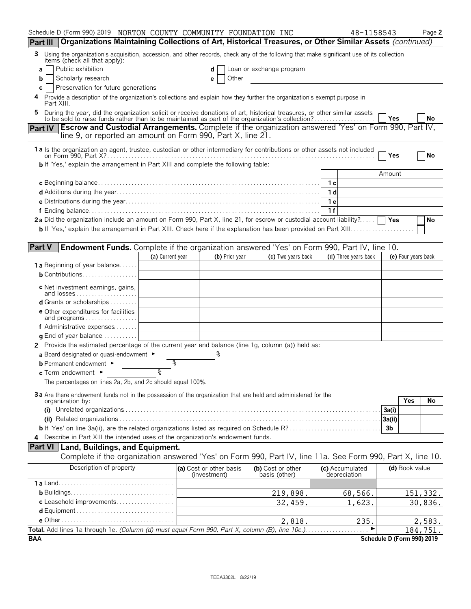| Schedule D (Form 990) 2019 NORTON COUNTY COMMUNITY FOUNDATION INC                                                                                                                                                         |                  |                                         |                |                                    | 48-1158543                      |                            | Page 2   |
|---------------------------------------------------------------------------------------------------------------------------------------------------------------------------------------------------------------------------|------------------|-----------------------------------------|----------------|------------------------------------|---------------------------------|----------------------------|----------|
| Organizations Maintaining Collections of Art, Historical Treasures, or Other Similar Assets (continued)<br>Part III                                                                                                       |                  |                                         |                |                                    |                                 |                            |          |
| Using the organization's acquisition, accession, and other records, check any of the following that make significant use of its collection<br>3<br>items (check all that apply):                                          |                  |                                         |                |                                    |                                 |                            |          |
| Public exhibition<br>a                                                                                                                                                                                                    |                  | d                                       |                | Loan or exchange program           |                                 |                            |          |
| Scholarly research<br>b                                                                                                                                                                                                   |                  | е                                       | Other          |                                    |                                 |                            |          |
| Preservation for future generations<br>С                                                                                                                                                                                  |                  |                                         |                |                                    |                                 |                            |          |
| Provide a description of the organization's collections and explain how they further the organization's exempt purpose in<br>4<br>Part XIII.                                                                              |                  |                                         |                |                                    |                                 |                            |          |
| During the year, did the organization solicit or receive donations of art, historical treasures, or other similar assets to be sold to raise funds rather than to be maintained as part of the organization's collection? |                  |                                         |                |                                    |                                 | Yes                        | No       |
| Part IV Escrow and Custodial Arrangements. Complete if the organization answered 'Yes' on Form 990, Part IV,<br>line 9, or reported an amount on Form 990, Part X, line 21.                                               |                  |                                         |                |                                    |                                 |                            |          |
|                                                                                                                                                                                                                           |                  |                                         |                |                                    |                                 |                            |          |
| 1a Is the organization an agent, trustee, custodian or other intermediary for contributions or other assets not included                                                                                                  |                  |                                         |                |                                    |                                 | Yes                        | No       |
| <b>b</b> If 'Yes,' explain the arrangement in Part XIII and complete the following table:                                                                                                                                 |                  |                                         |                |                                    |                                 |                            |          |
|                                                                                                                                                                                                                           |                  |                                         |                |                                    |                                 | Amount                     |          |
|                                                                                                                                                                                                                           |                  |                                         |                |                                    | 1 с                             |                            |          |
|                                                                                                                                                                                                                           |                  |                                         |                |                                    | 1 d                             |                            |          |
|                                                                                                                                                                                                                           |                  |                                         |                |                                    | 1е                              |                            |          |
|                                                                                                                                                                                                                           |                  |                                         |                |                                    | 1f                              |                            |          |
| 2a Did the organization include an amount on Form 990, Part X, line 21, for escrow or custodial account liability?                                                                                                        |                  |                                         |                |                                    |                                 | Yes                        | No       |
|                                                                                                                                                                                                                           |                  |                                         |                |                                    |                                 |                            |          |
| <b>Part V</b><br><b>Endowment Funds.</b> Complete if the organization answered 'Yes' on Form 990, Part IV, line 10.                                                                                                       |                  |                                         |                |                                    |                                 |                            |          |
|                                                                                                                                                                                                                           | (a) Current year |                                         | (b) Prior year | (c) Two years back                 | (d) Three years back            | (e) Four years back        |          |
| <b>1 a</b> Beginning of year balance                                                                                                                                                                                      |                  |                                         |                |                                    |                                 |                            |          |
| <b>b</b> Contributions                                                                                                                                                                                                    |                  |                                         |                |                                    |                                 |                            |          |
| c Net investment earnings, gains,                                                                                                                                                                                         |                  |                                         |                |                                    |                                 |                            |          |
| and losses                                                                                                                                                                                                                |                  |                                         |                |                                    |                                 |                            |          |
| <b>d</b> Grants or scholarships $\ldots$                                                                                                                                                                                  |                  |                                         |                |                                    |                                 |                            |          |
| <b>e</b> Other expenditures for facilities                                                                                                                                                                                |                  |                                         |                |                                    |                                 |                            |          |
| and programs<br>f Administrative expenses                                                                                                                                                                                 |                  |                                         |                |                                    |                                 |                            |          |
| <b>g</b> End of year balance $\ldots \ldots \ldots$                                                                                                                                                                       |                  |                                         |                |                                    |                                 |                            |          |
| 2 Provide the estimated percentage of the current year end balance (line 1g, column (a)) held as:                                                                                                                         |                  |                                         |                |                                    |                                 |                            |          |
| a Board designated or quasi-endowment $\blacktriangleright$                                                                                                                                                               |                  |                                         |                |                                    |                                 |                            |          |
| <b>b</b> Permanent endowment ►                                                                                                                                                                                            |                  |                                         |                |                                    |                                 |                            |          |
| c Term endowment ►                                                                                                                                                                                                        | ୭                |                                         |                |                                    |                                 |                            |          |
| The percentages on lines 2a, 2b, and 2c should equal 100%.                                                                                                                                                                |                  |                                         |                |                                    |                                 |                            |          |
|                                                                                                                                                                                                                           |                  |                                         |                |                                    |                                 |                            |          |
| 3a Are there endowment funds not in the possession of the organization that are held and administered for the<br>organization by:                                                                                         |                  |                                         |                |                                    |                                 | <b>Yes</b>                 | No       |
|                                                                                                                                                                                                                           |                  |                                         |                |                                    |                                 | 3a(i)                      |          |
|                                                                                                                                                                                                                           |                  |                                         |                |                                    |                                 | 3a(ii)                     |          |
|                                                                                                                                                                                                                           |                  |                                         |                |                                    |                                 | 3b                         |          |
| 4 Describe in Part XIII the intended uses of the organization's endowment funds.                                                                                                                                          |                  |                                         |                |                                    |                                 |                            |          |
| <b>Part VI</b> Land, Buildings, and Equipment.                                                                                                                                                                            |                  |                                         |                |                                    |                                 |                            |          |
| Complete if the organization answered 'Yes' on Form 990, Part IV, line 11a. See Form 990, Part X, line 10.                                                                                                                |                  |                                         |                |                                    |                                 |                            |          |
| Description of property                                                                                                                                                                                                   |                  | (a) Cost or other basis<br>(investment) |                | (b) Cost or other<br>basis (other) | (c) Accumulated<br>depreciation | (d) Book value             |          |
|                                                                                                                                                                                                                           |                  |                                         |                |                                    |                                 |                            |          |
|                                                                                                                                                                                                                           |                  |                                         |                | 219,898.                           | 68,566.                         |                            | 151,332. |
| c Leasehold improvements                                                                                                                                                                                                  |                  |                                         |                | 32,459.                            | 1,623.                          |                            | 30,836.  |
|                                                                                                                                                                                                                           |                  |                                         |                |                                    |                                 |                            |          |
|                                                                                                                                                                                                                           |                  |                                         |                | 2,818                              | 235.                            |                            | 2,583.   |
|                                                                                                                                                                                                                           |                  |                                         |                |                                    |                                 |                            | 184,751. |
| <b>BAA</b>                                                                                                                                                                                                                |                  |                                         |                |                                    |                                 | Schedule D (Form 990) 2019 |          |

TEEA3302L 8/22/19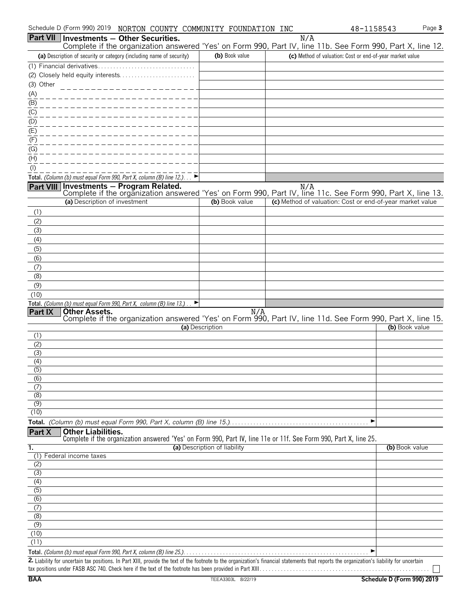|                 |                               | Schedule D (Form 990) 2019 NORTON COUNTY COMMUNITY FOUNDATION INC                                                                                                                           |                              |     | 48-1158543                                                | Page 3 |
|-----------------|-------------------------------|---------------------------------------------------------------------------------------------------------------------------------------------------------------------------------------------|------------------------------|-----|-----------------------------------------------------------|--------|
| Part VII        |                               | <b>Investments - Other Securities.</b><br>Complete if the organization answered 'Yes' on Form 990, Part IV, line 11b. See Form 990, Part X, line 12.                                        |                              | N/A |                                                           |        |
|                 |                               | (a) Description of security or category (including name of security)                                                                                                                        | (b) Book value               |     | (c) Method of valuation: Cost or end-of-year market value |        |
|                 |                               |                                                                                                                                                                                             |                              |     |                                                           |        |
|                 |                               |                                                                                                                                                                                             |                              |     |                                                           |        |
| (3) Other       |                               | ---------------------                                                                                                                                                                       |                              |     |                                                           |        |
| (A)             |                               |                                                                                                                                                                                             |                              |     |                                                           |        |
| (B)             |                               |                                                                                                                                                                                             |                              |     |                                                           |        |
| (C)             |                               |                                                                                                                                                                                             |                              |     |                                                           |        |
| (D)<br>(E)      |                               |                                                                                                                                                                                             |                              |     |                                                           |        |
| (F)             |                               |                                                                                                                                                                                             |                              |     |                                                           |        |
| (G)             |                               |                                                                                                                                                                                             |                              |     |                                                           |        |
| (H)             |                               |                                                                                                                                                                                             |                              |     |                                                           |        |
| $($ l $)$       |                               |                                                                                                                                                                                             |                              |     |                                                           |        |
|                 |                               | Total. (Column (b) must equal Form 990, Part X, column (B) line 12.). $\Box$                                                                                                                |                              |     |                                                           |        |
|                 |                               | Part VIII Investments - Program Related.<br>Complete if the organization answered 'Yes' on Form 990, Part IV, line 11c. See Form 990, Part X, line 13.                                      |                              | N/A |                                                           |        |
|                 | (a) Description of investment |                                                                                                                                                                                             | (b) Book value               |     | (c) Method of valuation: Cost or end-of-year market value |        |
| (1)             |                               |                                                                                                                                                                                             |                              |     |                                                           |        |
| (2)             |                               |                                                                                                                                                                                             |                              |     |                                                           |        |
| (3)             |                               |                                                                                                                                                                                             |                              |     |                                                           |        |
| (4)             |                               |                                                                                                                                                                                             |                              |     |                                                           |        |
| (5)             |                               |                                                                                                                                                                                             |                              |     |                                                           |        |
| (6)             |                               |                                                                                                                                                                                             |                              |     |                                                           |        |
| (7)<br>(8)      |                               |                                                                                                                                                                                             |                              |     |                                                           |        |
| (9)             |                               |                                                                                                                                                                                             |                              |     |                                                           |        |
| (10)            |                               |                                                                                                                                                                                             |                              |     |                                                           |        |
|                 |                               | Total. (Column (b) must equal Form 990, Part X, column (B) line $13.$ ) . $\blacksquare$                                                                                                    |                              |     |                                                           |        |
| <b>Part IX</b>  | <b>Other Assets.</b>          | Complete if the organization answered 'Yes' on Form 990, Part IV, line 11d. See Form 990, Part X, line 15.                                                                                  | N/A                          |     |                                                           |        |
|                 |                               |                                                                                                                                                                                             | (a) Description              |     | (b) Book value                                            |        |
| (1)             |                               |                                                                                                                                                                                             |                              |     |                                                           |        |
| (2)             |                               |                                                                                                                                                                                             |                              |     |                                                           |        |
| (3)<br>(4)      |                               |                                                                                                                                                                                             |                              |     |                                                           |        |
| (5)             |                               |                                                                                                                                                                                             |                              |     |                                                           |        |
| (6)             |                               |                                                                                                                                                                                             |                              |     |                                                           |        |
| (7)             |                               |                                                                                                                                                                                             |                              |     |                                                           |        |
| (8)<br>(9)      |                               |                                                                                                                                                                                             |                              |     |                                                           |        |
| (10)            |                               |                                                                                                                                                                                             |                              |     |                                                           |        |
|                 |                               |                                                                                                                                                                                             |                              |     | ▶                                                         |        |
| <b>Part X</b>   | <b>Other Liabilities.</b>     |                                                                                                                                                                                             |                              |     |                                                           |        |
|                 |                               | Complete if the organization answered 'Yes' on Form 990, Part IV, line 11e or 11f. See Form 990, Part X, line 25.                                                                           |                              |     |                                                           |        |
| 1.<br>(1)       | Federal income taxes          |                                                                                                                                                                                             | (a) Description of liability |     | (b) Book value                                            |        |
| (2)             |                               |                                                                                                                                                                                             |                              |     |                                                           |        |
| $\overline{3)}$ |                               |                                                                                                                                                                                             |                              |     |                                                           |        |
| (4)             |                               |                                                                                                                                                                                             |                              |     |                                                           |        |
| (5)             |                               |                                                                                                                                                                                             |                              |     |                                                           |        |
| (6)<br>(7)      |                               |                                                                                                                                                                                             |                              |     |                                                           |        |
| (8)             |                               |                                                                                                                                                                                             |                              |     |                                                           |        |
| (9)             |                               |                                                                                                                                                                                             |                              |     |                                                           |        |
| (10)            |                               |                                                                                                                                                                                             |                              |     |                                                           |        |
| (11)            |                               |                                                                                                                                                                                             |                              |     |                                                           |        |
|                 |                               | 2. Liability for uncertain tax positions. In Part XIII, provide the text of the footnote to the organization's financial statements that reports the organization's liability for uncertain |                              |     |                                                           |        |
|                 |                               |                                                                                                                                                                                             |                              |     |                                                           |        |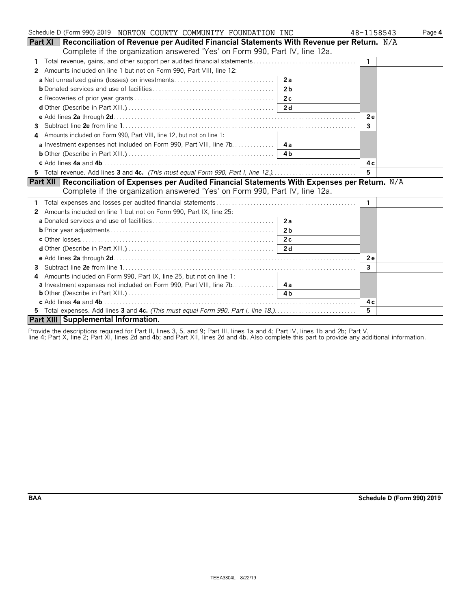| Schedule D (Form 990) 2019 NORTON COUNTY COMMUNITY FOUNDATION INC                                        | 48-1158543     | Page 4 |
|----------------------------------------------------------------------------------------------------------|----------------|--------|
| <b>Part XI</b> Reconciliation of Revenue per Audited Financial Statements With Revenue per Return. $N/A$ |                |        |
| Complete if the organization answered 'Yes' on Form 990, Part IV, line 12a.                              |                |        |
| 1 Total revenue, gains, and other support per audited financial statements                               | $\mathbf{1}$   |        |
| Amounts included on line 1 but not on Form 990, Part VIII, line 12:<br>2                                 |                |        |
|                                                                                                          |                |        |
| 2 <sub>b</sub>                                                                                           |                |        |
|                                                                                                          |                |        |
|                                                                                                          |                |        |
|                                                                                                          | 2e             |        |
| 3.                                                                                                       | $\overline{3}$ |        |
| Amounts included on Form 990, Part VIII, line 12, but not on line 1:<br>4                                |                |        |
|                                                                                                          |                |        |
|                                                                                                          |                |        |
|                                                                                                          | 4 c            |        |
| 5 Total revenue. Add lines 3 and 4c. (This must equal Form 990, Part I, line 12.)                        | 5              |        |
| Part XII   Reconciliation of Expenses per Audited Financial Statements With Expenses per Return. N/A     |                |        |
| Complete if the organization answered 'Yes' on Form 990, Part IV, line 12a.                              |                |        |
|                                                                                                          | -1             |        |
| 2 Amounts included on line 1 but not on Form 990, Part IX, line 25:                                      |                |        |
|                                                                                                          |                |        |
| 2 <sub>h</sub>                                                                                           |                |        |
|                                                                                                          |                |        |
|                                                                                                          |                |        |
|                                                                                                          | 2e             |        |
| 3.                                                                                                       | 3              |        |
| Amounts included on Form 990, Part IX, line 25, but not on line 1:<br>4                                  |                |        |
| <b>a</b> Investment expenses not included on Form 990, Part VIII, line 7b. 4a                            |                |        |
|                                                                                                          |                |        |
|                                                                                                          | 4 c            |        |
| 5 Total expenses. Add lines 3 and 4c. (This must equal Form 990, Part I, line 18.)                       | $\overline{5}$ |        |
| Part XIII Supplemental Information.                                                                      |                |        |

Provide the descriptions required for Part II, lines 3, 5, and 9; Part III, lines 1a and 4; Part IV, lines 1b and 2b; Part V,

line 4; Part X, line 2; Part XI, lines 2d and 4b; and Part XII, lines 2d and 4b. Also complete this part to provide any additional information.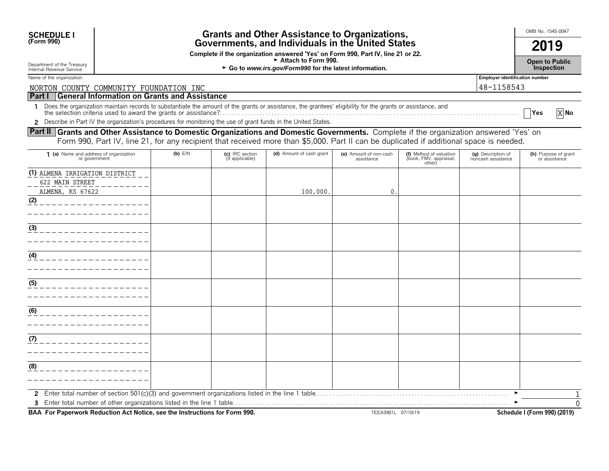| <b>SCHEDULE I</b><br>(Form 990)                                                                                                        | <b>Grants and Other Assistance to Organizations,</b><br>Governments, and Individuals in the United States |                                                                                                                                                                    |                                    |                                                                                                                                                            |                                      |                                                             |                                          |                                       |  |
|----------------------------------------------------------------------------------------------------------------------------------------|-----------------------------------------------------------------------------------------------------------|--------------------------------------------------------------------------------------------------------------------------------------------------------------------|------------------------------------|------------------------------------------------------------------------------------------------------------------------------------------------------------|--------------------------------------|-------------------------------------------------------------|------------------------------------------|---------------------------------------|--|
|                                                                                                                                        |                                                                                                           |                                                                                                                                                                    |                                    |                                                                                                                                                            |                                      |                                                             |                                          |                                       |  |
| Department of the Treasury<br>Internal Revenue Service                                                                                 |                                                                                                           | Complete if the organization answered 'Yes' on Form 990, Part IV, line 21 or 22.<br>Attach to Form 990.<br>► Go to www.irs.gov/Form990 for the latest information. |                                    |                                                                                                                                                            |                                      |                                                             |                                          |                                       |  |
| Name of the organization                                                                                                               |                                                                                                           |                                                                                                                                                                    |                                    |                                                                                                                                                            |                                      |                                                             | <b>Employer identification number</b>    |                                       |  |
| 48-1158543<br>NORTON COUNTY COMMUNITY FOUNDATION INC                                                                                   |                                                                                                           |                                                                                                                                                                    |                                    |                                                                                                                                                            |                                      |                                                             |                                          |                                       |  |
| <b>Part I</b> General Information on Grants and Assistance                                                                             |                                                                                                           |                                                                                                                                                                    |                                    |                                                                                                                                                            |                                      |                                                             |                                          |                                       |  |
| $\mathbf{1}$                                                                                                                           |                                                                                                           |                                                                                                                                                                    |                                    | Does the organization maintain records to substantiate the amount of the grants or assistance, the grantees' eligibility for the grants or assistance, and |                                      |                                                             |                                          | $X$ No<br>Yes                         |  |
|                                                                                                                                        |                                                                                                           |                                                                                                                                                                    |                                    | 2 Describe in Part IV the organization's procedures for monitoring the use of grant funds in the United States.                                            |                                      |                                                             |                                          |                                       |  |
| Part II Grants and Other Assistance to Domestic Organizations and Domestic Governments. Complete if the organization answered 'Yes' on |                                                                                                           |                                                                                                                                                                    |                                    | Form 990, Part IV, line 21, for any recipient that received more than \$5,000. Part II can be duplicated if additional space is needed.                    |                                      |                                                             |                                          |                                       |  |
| 1 (a) Name and address of organization<br>or government                                                                                |                                                                                                           | $(b)$ $E$ IN                                                                                                                                                       | (c) IRC section<br>(if applicable) | (d) Amount of cash grant                                                                                                                                   | (e) Amount of non-cash<br>assistance | (f) Method of valuation<br>(book, FMV, appraisal,<br>other) | (g) Description of<br>noncash assistance | (h) Purpose of grant<br>or assistance |  |
| (1) ALMENA IRRIGATION DISTRICT<br>622 MAIN STREET                                                                                      |                                                                                                           |                                                                                                                                                                    |                                    |                                                                                                                                                            |                                      |                                                             |                                          |                                       |  |
| ALMENA, KS 67622                                                                                                                       |                                                                                                           |                                                                                                                                                                    |                                    | 100,000.                                                                                                                                                   | $\mathbf{0}$                         |                                                             |                                          |                                       |  |
| (2)                                                                                                                                    |                                                                                                           |                                                                                                                                                                    |                                    |                                                                                                                                                            |                                      |                                                             |                                          |                                       |  |
|                                                                                                                                        |                                                                                                           |                                                                                                                                                                    |                                    |                                                                                                                                                            |                                      |                                                             |                                          |                                       |  |
| (3)                                                                                                                                    |                                                                                                           |                                                                                                                                                                    |                                    |                                                                                                                                                            |                                      |                                                             |                                          |                                       |  |
|                                                                                                                                        |                                                                                                           |                                                                                                                                                                    |                                    |                                                                                                                                                            |                                      |                                                             |                                          |                                       |  |
|                                                                                                                                        |                                                                                                           |                                                                                                                                                                    |                                    |                                                                                                                                                            |                                      |                                                             |                                          |                                       |  |
| (4)                                                                                                                                    |                                                                                                           |                                                                                                                                                                    |                                    |                                                                                                                                                            |                                      |                                                             |                                          |                                       |  |
|                                                                                                                                        |                                                                                                           |                                                                                                                                                                    |                                    |                                                                                                                                                            |                                      |                                                             |                                          |                                       |  |
| (5)                                                                                                                                    |                                                                                                           |                                                                                                                                                                    |                                    |                                                                                                                                                            |                                      |                                                             |                                          |                                       |  |
|                                                                                                                                        |                                                                                                           |                                                                                                                                                                    |                                    |                                                                                                                                                            |                                      |                                                             |                                          |                                       |  |
|                                                                                                                                        |                                                                                                           |                                                                                                                                                                    |                                    |                                                                                                                                                            |                                      |                                                             |                                          |                                       |  |
| (6)                                                                                                                                    |                                                                                                           |                                                                                                                                                                    |                                    |                                                                                                                                                            |                                      |                                                             |                                          |                                       |  |
|                                                                                                                                        |                                                                                                           |                                                                                                                                                                    |                                    |                                                                                                                                                            |                                      |                                                             |                                          |                                       |  |
|                                                                                                                                        |                                                                                                           |                                                                                                                                                                    |                                    |                                                                                                                                                            |                                      |                                                             |                                          |                                       |  |
| (7)                                                                                                                                    |                                                                                                           |                                                                                                                                                                    |                                    |                                                                                                                                                            |                                      |                                                             |                                          |                                       |  |
|                                                                                                                                        |                                                                                                           |                                                                                                                                                                    |                                    |                                                                                                                                                            |                                      |                                                             |                                          |                                       |  |
| (8)                                                                                                                                    |                                                                                                           |                                                                                                                                                                    |                                    |                                                                                                                                                            |                                      |                                                             |                                          |                                       |  |
|                                                                                                                                        |                                                                                                           |                                                                                                                                                                    |                                    |                                                                                                                                                            |                                      |                                                             |                                          |                                       |  |
|                                                                                                                                        |                                                                                                           |                                                                                                                                                                    |                                    |                                                                                                                                                            |                                      |                                                             |                                          |                                       |  |
|                                                                                                                                        |                                                                                                           |                                                                                                                                                                    |                                    |                                                                                                                                                            |                                      |                                                             |                                          |                                       |  |
|                                                                                                                                        |                                                                                                           |                                                                                                                                                                    |                                    |                                                                                                                                                            |                                      |                                                             |                                          |                                       |  |
| BAA For Paperwork Reduction Act Notice, see the Instructions for Form 990.                                                             |                                                                                                           |                                                                                                                                                                    |                                    |                                                                                                                                                            | TEEA3901L 07/10/19                   |                                                             |                                          | Schedule I (Form 990) (2019)          |  |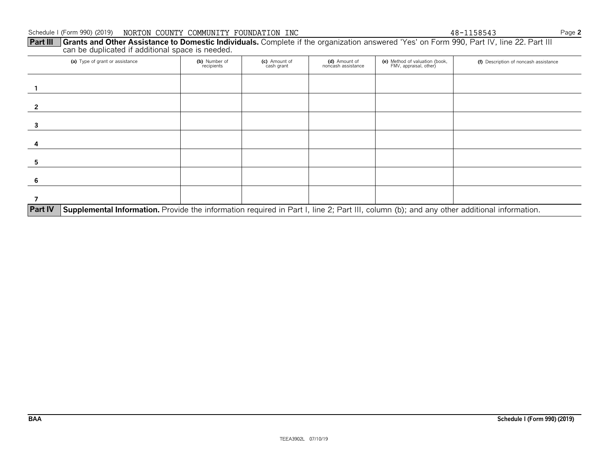### Schedule I (Form 990) (2019) Page **2** NORTON COUNTY COMMUNITY FOUNDATION INC 48-1158543

**Part III Grants and Other Assistance to Domestic Individuals.** Complete if the organization answered 'Yes' on Form 990, Part IV, line 22. Part III can be duplicated if additional space is needed.

| (a) Type of grant or assistance                                                                                                                      | (b) Number of<br>recipients | (c) Amount of<br>cash grant | (d) Amount of<br>noncash assistance | (e) Method of valuation (book,<br>FMV, appraisal, other) | (f) Description of noncash assistance |  |  |  |
|------------------------------------------------------------------------------------------------------------------------------------------------------|-----------------------------|-----------------------------|-------------------------------------|----------------------------------------------------------|---------------------------------------|--|--|--|
|                                                                                                                                                      |                             |                             |                                     |                                                          |                                       |  |  |  |
|                                                                                                                                                      |                             |                             |                                     |                                                          |                                       |  |  |  |
|                                                                                                                                                      |                             |                             |                                     |                                                          |                                       |  |  |  |
|                                                                                                                                                      |                             |                             |                                     |                                                          |                                       |  |  |  |
| 5                                                                                                                                                    |                             |                             |                                     |                                                          |                                       |  |  |  |
| 6                                                                                                                                                    |                             |                             |                                     |                                                          |                                       |  |  |  |
|                                                                                                                                                      |                             |                             |                                     |                                                          |                                       |  |  |  |
| Part IV<br>Supplemental Information. Provide the information required in Part I, line 2; Part III, column (b); and any other additional information. |                             |                             |                                     |                                                          |                                       |  |  |  |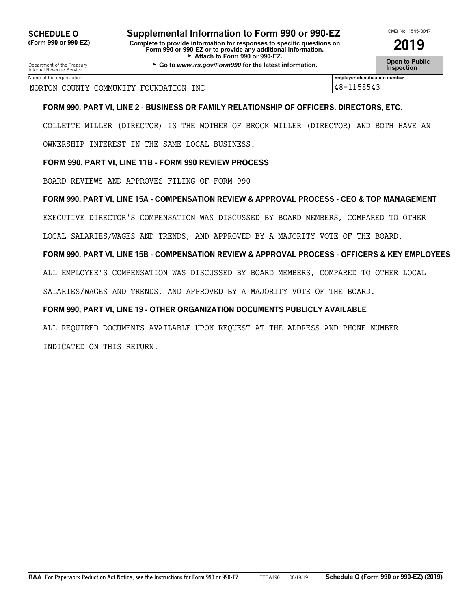# **CHEDULE O** Supplemental Information to Form 990 or 990-EZ<br>
Form 990 or 990-EZ) Complete to provide information for responses to specific questions on **(Form 990 or 990-EZ) Complete to provide information for responses to specific questions on Form 990 or 990-EZ or to provide any additional information. 2019** Attach to Form 990 or 990-EZ.

Department of the Treasury **Constant Comment of the Collaboration Constant Constant Comment Constant Constant Constant Constant Constant Constant Constant Constant Constant Constant Constant Constant Constant Constant C** 

Name of the organization **Employer identification number Employer identification number** 

| NORTON | <b>COUNTY</b> | COMMUNITY | FOUNDATION | INC | 1158543 |
|--------|---------------|-----------|------------|-----|---------|
|        |               |           |            |     |         |

| <b>Linproyer ruentincation nu</b> |  |  |  |  |  |
|-----------------------------------|--|--|--|--|--|
| 10.1100112                        |  |  |  |  |  |

# **FORM 990, PART VI, LINE 2 - BUSINESS OR FAMILY RELATIONSHIP OF OFFICERS, DIRECTORS, ETC.**

COLLETTE MILLER (DIRECTOR) IS THE MOTHER OF BROCK MILLER (DIRECTOR) AND BOTH HAVE AN

OWNERSHIP INTEREST IN THE SAME LOCAL BUSINESS.

# **FORM 990, PART VI, LINE 11B - FORM 990 REVIEW PROCESS**

BOARD REVIEWS AND APPROVES FILING OF FORM 990

# **FORM 990, PART VI, LINE 15A - COMPENSATION REVIEW & APPROVAL PROCESS - CEO & TOP MANAGEMENT**

EXECUTIVE DIRECTOR'S COMPENSATION WAS DISCUSSED BY BOARD MEMBERS, COMPARED TO OTHER

LOCAL SALARIES/WAGES AND TRENDS, AND APPROVED BY A MAJORITY VOTE OF THE BOARD.

# **FORM 990, PART VI, LINE 15B - COMPENSATION REVIEW & APPROVAL PROCESS - OFFICERS & KEY EMPLOYEES**

ALL EMPLOYEE'S COMPENSATION WAS DISCUSSED BY BOARD MEMBERS, COMPARED TO OTHER LOCAL

SALARIES/WAGES AND TRENDS, AND APPROVED BY A MAJORITY VOTE OF THE BOARD.

# **FORM 990, PART VI, LINE 19 - OTHER ORGANIZATION DOCUMENTS PUBLICLY AVAILABLE**

ALL REQUIRED DOCUMENTS AVAILABLE UPON REQUEST AT THE ADDRESS AND PHONE NUMBER

INDICATED ON THIS RETURN.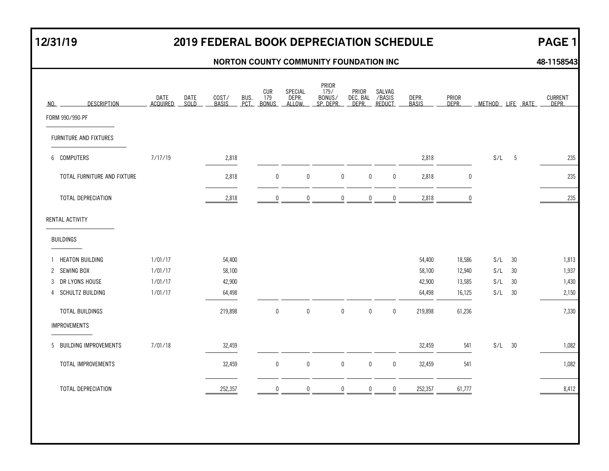# **12/31/19 2019 FEDERAL BOOK DEPRECIATION SCHEDULE PAGE 1**

# **NORTON COUNTY COMMUNITY FOUNDATION INC** 48-1158543

| NO.              | <b>DESCRIPTION</b>                     | DATE<br>ACQUIRED | DATE<br>SOLD | COST/<br>BASIS | BUS.<br>PCT. | CUR<br>179<br><b>BONUS</b> | SPECIAL<br>DEPR.<br>ALLOW. | PRIOR<br>179/<br>BONUS/<br>SP. DEPR. | PRIOR<br>DEC. BAL<br>DEPR. | SALVAG<br>/BASIS<br>REDUCT | DEPR.<br><b>BASIS</b> | PRIOR<br>DEPR. |     | METHOD LIFE RATE | <b>CURRENT</b><br>DFPR. |
|------------------|----------------------------------------|------------------|--------------|----------------|--------------|----------------------------|----------------------------|--------------------------------------|----------------------------|----------------------------|-----------------------|----------------|-----|------------------|-------------------------|
| FORM 990/990-PF  |                                        |                  |              |                |              |                            |                            |                                      |                            |                            |                       |                |     |                  |                         |
|                  | FURNITURE AND FIXTURES                 |                  |              |                |              |                            |                            |                                      |                            |                            |                       |                |     |                  |                         |
|                  | 6 COMPUTERS                            | 7/17/19          |              | 2,818          |              |                            |                            |                                      |                            |                            | 2,818                 |                | S/L | $5\phantom{0}$   | 235                     |
|                  | TOTAL FURNITURE AND FIXTURE            |                  |              | 2,818          |              | 0                          | $\mathbf 0$                | $\pmb{0}$                            | $\mathbf 0$                | $\mathbf 0$                | 2,818                 | $\mathbf 0$    |     |                  | 235                     |
|                  | TOTAL DEPRECIATION                     |                  |              | 2,818          |              | 0                          | $\mathbf{0}$               | $\pmb{0}$                            | $\mathbf 0$                | $\mathbf 0$                | 2,818                 | $\mathbf 0$    |     |                  | 235                     |
| RENTAL ACTIVITY  |                                        |                  |              |                |              |                            |                            |                                      |                            |                            |                       |                |     |                  |                         |
| <b>BUILDINGS</b> |                                        |                  |              |                |              |                            |                            |                                      |                            |                            |                       |                |     |                  |                         |
|                  | 1 HEATON BUILDING                      | 1/01/17          |              | 54,400         |              |                            |                            |                                      |                            |                            | 54,400                | 18,586         |     | $S/L$ 30         | 1,813                   |
|                  | 2 SEWING BOX                           | 1/01/17          |              | 58,100         |              |                            |                            |                                      |                            |                            | 58,100                | 12,940         | S/L | 30               | 1,937                   |
|                  | 3 DR LYONS HOUSE                       | 1/01/17          |              | 42,900         |              |                            |                            |                                      |                            |                            | 42,900                | 13,585         | S/L | 30               | 1,430                   |
|                  | 4 SCHULTZ BUILDING                     | 1/01/17          |              | 64,498         |              |                            |                            |                                      |                            |                            | 64,498                | 16,125         | S/L | 30               | 2,150                   |
|                  | TOTAL BUILDINGS<br><b>IMPROVEMENTS</b> |                  |              | 219,898        |              | $\pmb{0}$                  | $\pmb{0}$                  | $\pmb{0}$                            | $\boldsymbol{0}$           | $\pmb{0}$                  | 219,898               | 61,236         |     |                  | 7,330                   |
|                  | 5 BUILDING IMPROVEMENTS                | 7/01/18          |              | 32,459         |              |                            |                            |                                      |                            |                            | 32,459                | 541            |     | $S/L$ 30         | 1,082                   |
|                  | TOTAL IMPROVEMENTS                     |                  |              | 32,459         |              | $\mathbf 0$                | $\mathbf 0$                | $\mathbf 0$                          | $\mathbf 0$                | $\mathbf 0$                | 32,459                | 541            |     |                  | 1,082                   |
|                  | TOTAL DEPRECIATION                     |                  |              | 252,357        |              | 0                          | 0                          | $\pmb{0}$                            | $\boldsymbol{0}$           | $\mathbf 0$                | 252,357               | 61,777         |     |                  | 8,412                   |